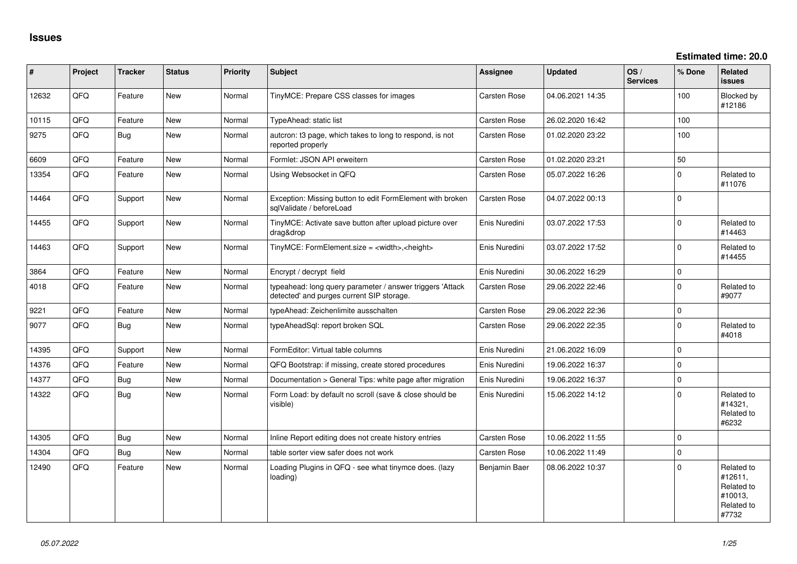**Estimated time: 20.0**

| #     | Project | <b>Tracker</b> | <b>Status</b> | <b>Priority</b> | <b>Subject</b>                                                                                         | Assignee            | <b>Updated</b>   | OS/<br><b>Services</b> | % Done         | <b>Related</b><br><b>issues</b>                                       |
|-------|---------|----------------|---------------|-----------------|--------------------------------------------------------------------------------------------------------|---------------------|------------------|------------------------|----------------|-----------------------------------------------------------------------|
| 12632 | QFQ     | Feature        | <b>New</b>    | Normal          | TinyMCE: Prepare CSS classes for images                                                                | <b>Carsten Rose</b> | 04.06.2021 14:35 |                        | 100            | Blocked by<br>#12186                                                  |
| 10115 | QFQ     | Feature        | <b>New</b>    | Normal          | TypeAhead: static list                                                                                 | Carsten Rose        | 26.02.2020 16:42 |                        | 100            |                                                                       |
| 9275  | QFQ     | <b>Bug</b>     | <b>New</b>    | Normal          | autcron: t3 page, which takes to long to respond, is not<br>reported properly                          | Carsten Rose        | 01.02.2020 23:22 |                        | 100            |                                                                       |
| 6609  | QFQ     | Feature        | <b>New</b>    | Normal          | Formlet: JSON API erweitern                                                                            | <b>Carsten Rose</b> | 01.02.2020 23:21 |                        | 50             |                                                                       |
| 13354 | QFQ     | Feature        | New           | Normal          | Using Websocket in QFQ                                                                                 | Carsten Rose        | 05.07.2022 16:26 |                        | $\mathbf 0$    | Related to<br>#11076                                                  |
| 14464 | QFQ     | Support        | New           | Normal          | Exception: Missing button to edit FormElement with broken<br>sglValidate / beforeLoad                  | Carsten Rose        | 04.07.2022 00:13 |                        | $\Omega$       |                                                                       |
| 14455 | QFQ     | Support        | New           | Normal          | TinyMCE: Activate save button after upload picture over<br>drag&drop                                   | Enis Nuredini       | 03.07.2022 17:53 |                        | $\Omega$       | Related to<br>#14463                                                  |
| 14463 | QFQ     | Support        | New           | Normal          | TinyMCE: FormElement.size = <width>,<height></height></width>                                          | Enis Nuredini       | 03.07.2022 17:52 |                        | $\Omega$       | Related to<br>#14455                                                  |
| 3864  | QFQ     | Feature        | <b>New</b>    | Normal          | Encrypt / decrypt field                                                                                | Enis Nuredini       | 30.06.2022 16:29 |                        | $\overline{0}$ |                                                                       |
| 4018  | QFQ     | Feature        | New           | Normal          | typeahead: long query parameter / answer triggers 'Attack<br>detected' and purges current SIP storage. | <b>Carsten Rose</b> | 29.06.2022 22:46 |                        | $\Omega$       | Related to<br>#9077                                                   |
| 9221  | QFQ     | Feature        | <b>New</b>    | Normal          | typeAhead: Zeichenlimite ausschalten                                                                   | <b>Carsten Rose</b> | 29.06.2022 22:36 |                        | $\mathbf 0$    |                                                                       |
| 9077  | QFQ     | Bug            | New           | Normal          | typeAheadSql: report broken SQL                                                                        | Carsten Rose        | 29.06.2022 22:35 |                        | $\Omega$       | Related to<br>#4018                                                   |
| 14395 | QFQ     | Support        | <b>New</b>    | Normal          | FormEditor: Virtual table columns                                                                      | Enis Nuredini       | 21.06.2022 16:09 |                        | $\Omega$       |                                                                       |
| 14376 | QFQ     | Feature        | <b>New</b>    | Normal          | QFQ Bootstrap: if missing, create stored procedures                                                    | Enis Nuredini       | 19.06.2022 16:37 |                        | $\mathbf 0$    |                                                                       |
| 14377 | QFQ     | Bug            | <b>New</b>    | Normal          | Documentation > General Tips: white page after migration                                               | Enis Nuredini       | 19.06.2022 16:37 |                        | $\mathbf 0$    |                                                                       |
| 14322 | QFQ     | <b>Bug</b>     | New           | Normal          | Form Load: by default no scroll (save & close should be<br>visible)                                    | Enis Nuredini       | 15.06.2022 14:12 |                        | $\Omega$       | Related to<br>#14321,<br>Related to<br>#6232                          |
| 14305 | QFQ     | <b>Bug</b>     | <b>New</b>    | Normal          | Inline Report editing does not create history entries                                                  | Carsten Rose        | 10.06.2022 11:55 |                        | $\mathbf 0$    |                                                                       |
| 14304 | QFQ     | <b>Bug</b>     | <b>New</b>    | Normal          | table sorter view safer does not work                                                                  | <b>Carsten Rose</b> | 10.06.2022 11:49 |                        | $\Omega$       |                                                                       |
| 12490 | QFQ     | Feature        | <b>New</b>    | Normal          | Loading Plugins in QFQ - see what tinymce does. (lazy<br>loading)                                      | Benjamin Baer       | 08.06.2022 10:37 |                        | $\Omega$       | Related to<br>#12611,<br>Related to<br>#10013,<br>Related to<br>#7732 |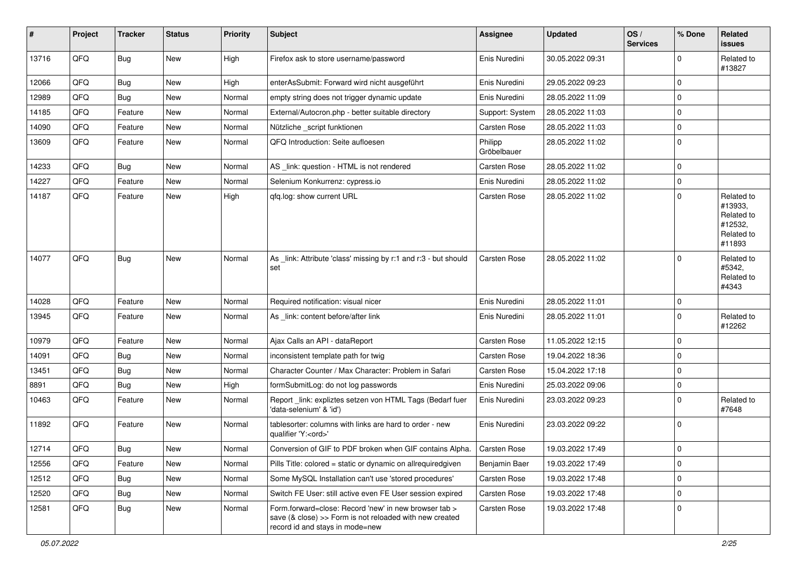| #     | Project | <b>Tracker</b>   | <b>Status</b> | <b>Priority</b> | <b>Subject</b>                                                                                                                                      | <b>Assignee</b>        | <b>Updated</b>   | OS/<br><b>Services</b> | % Done      | <b>Related</b><br><b>issues</b>                                        |
|-------|---------|------------------|---------------|-----------------|-----------------------------------------------------------------------------------------------------------------------------------------------------|------------------------|------------------|------------------------|-------------|------------------------------------------------------------------------|
| 13716 | QFQ     | Bug              | New           | High            | Firefox ask to store username/password                                                                                                              | Enis Nuredini          | 30.05.2022 09:31 |                        | 0           | Related to<br>#13827                                                   |
| 12066 | QFQ     | <b>Bug</b>       | <b>New</b>    | High            | enterAsSubmit: Forward wird nicht ausgeführt                                                                                                        | Enis Nuredini          | 29.05.2022 09:23 |                        | 0           |                                                                        |
| 12989 | QFQ     | <b>Bug</b>       | New           | Normal          | empty string does not trigger dynamic update                                                                                                        | Enis Nuredini          | 28.05.2022 11:09 |                        | 0           |                                                                        |
| 14185 | QFQ     | Feature          | New           | Normal          | External/Autocron.php - better suitable directory                                                                                                   | Support: System        | 28.05.2022 11:03 |                        | 0           |                                                                        |
| 14090 | QFQ     | Feature          | New           | Normal          | Nützliche_script funktionen                                                                                                                         | Carsten Rose           | 28.05.2022 11:03 |                        | 0           |                                                                        |
| 13609 | QFQ     | Feature          | New           | Normal          | QFQ Introduction: Seite aufloesen                                                                                                                   | Philipp<br>Gröbelbauer | 28.05.2022 11:02 |                        | $\mathbf 0$ |                                                                        |
| 14233 | QFQ     | <b>Bug</b>       | <b>New</b>    | Normal          | AS_link: question - HTML is not rendered                                                                                                            | <b>Carsten Rose</b>    | 28.05.2022 11:02 |                        | $\mathbf 0$ |                                                                        |
| 14227 | QFQ     | Feature          | New           | Normal          | Selenium Konkurrenz: cypress.io                                                                                                                     | Enis Nuredini          | 28.05.2022 11:02 |                        | 0           |                                                                        |
| 14187 | QFQ     | Feature          | New           | High            | qfq.log: show current URL                                                                                                                           | Carsten Rose           | 28.05.2022 11:02 |                        | $\mathbf 0$ | Related to<br>#13933,<br>Related to<br>#12532,<br>Related to<br>#11893 |
| 14077 | QFQ     | Bug              | <b>New</b>    | Normal          | As _link: Attribute 'class' missing by r:1 and r:3 - but should<br>set                                                                              | <b>Carsten Rose</b>    | 28.05.2022 11:02 |                        | $\Omega$    | Related to<br>#5342.<br>Related to<br>#4343                            |
| 14028 | QFQ     | Feature          | New           | Normal          | Required notification: visual nicer                                                                                                                 | Enis Nuredini          | 28.05.2022 11:01 |                        | 0           |                                                                        |
| 13945 | QFQ     | Feature          | New           | Normal          | As _link: content before/after link                                                                                                                 | Enis Nuredini          | 28.05.2022 11:01 |                        | 0           | Related to<br>#12262                                                   |
| 10979 | QFQ     | Feature          | New           | Normal          | Ajax Calls an API - dataReport                                                                                                                      | <b>Carsten Rose</b>    | 11.05.2022 12:15 |                        | 0           |                                                                        |
| 14091 | QFQ     | Bug              | New           | Normal          | inconsistent template path for twig                                                                                                                 | Carsten Rose           | 19.04.2022 18:36 |                        | 0           |                                                                        |
| 13451 | QFQ     | Bug              | New           | Normal          | Character Counter / Max Character: Problem in Safari                                                                                                | Carsten Rose           | 15.04.2022 17:18 |                        | 0           |                                                                        |
| 8891  | QFQ     | <b>Bug</b>       | New           | High            | formSubmitLog: do not log passwords                                                                                                                 | Enis Nuredini          | 25.03.2022 09:06 |                        | 0           |                                                                        |
| 10463 | QFQ     | Feature          | New           | Normal          | Report_link: expliztes setzen von HTML Tags (Bedarf fuer<br>'data-selenium' & 'id')                                                                 | Enis Nuredini          | 23.03.2022 09:23 |                        | $\mathbf 0$ | Related to<br>#7648                                                    |
| 11892 | QFQ     | Feature          | New           | Normal          | tablesorter: columns with links are hard to order - new<br>qualifier 'Y: <ord>'</ord>                                                               | Enis Nuredini          | 23.03.2022 09:22 |                        | $\mathbf 0$ |                                                                        |
| 12714 | QFQ     | <sub>I</sub> Bug | <b>New</b>    | Normal          | Conversion of GIF to PDF broken when GIF contains Alpha.                                                                                            | <b>Carsten Rose</b>    | 19.03.2022 17:49 |                        | $\Omega$    |                                                                        |
| 12556 | QFQ     | Feature          | New           | Normal          | Pills Title: colored = static or dynamic on allrequiredgiven                                                                                        | Benjamin Baer          | 19.03.2022 17:49 |                        | $\mathbf 0$ |                                                                        |
| 12512 | QFQ     | Bug              | New           | Normal          | Some MySQL Installation can't use 'stored procedures'                                                                                               | Carsten Rose           | 19.03.2022 17:48 |                        | 0           |                                                                        |
| 12520 | QFQ     | <b>Bug</b>       | New           | Normal          | Switch FE User: still active even FE User session expired                                                                                           | Carsten Rose           | 19.03.2022 17:48 |                        | 0           |                                                                        |
| 12581 | QFQ     | Bug              | New           | Normal          | Form.forward=close: Record 'new' in new browser tab ><br>save (& close) >> Form is not reloaded with new created<br>record id and stays in mode=new | Carsten Rose           | 19.03.2022 17:48 |                        | 0           |                                                                        |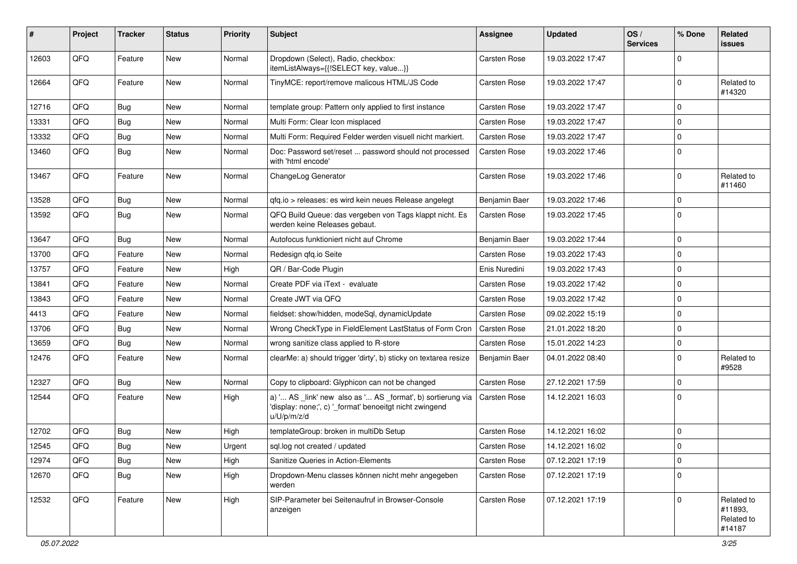| #     | Project | <b>Tracker</b> | <b>Status</b> | <b>Priority</b> | <b>Subject</b>                                                                                                                        | <b>Assignee</b>     | <b>Updated</b>   | OS/<br><b>Services</b> | % Done      | <b>Related</b><br><b>issues</b>               |
|-------|---------|----------------|---------------|-----------------|---------------------------------------------------------------------------------------------------------------------------------------|---------------------|------------------|------------------------|-------------|-----------------------------------------------|
| 12603 | QFQ     | Feature        | New           | Normal          | Dropdown (Select), Radio, checkbox:<br>itemListAlways={{!SELECT key, value}}                                                          | Carsten Rose        | 19.03.2022 17:47 |                        | $\Omega$    |                                               |
| 12664 | QFQ     | Feature        | New           | Normal          | TinyMCE: report/remove malicous HTML/JS Code                                                                                          | Carsten Rose        | 19.03.2022 17:47 |                        | 0           | Related to<br>#14320                          |
| 12716 | QFQ     | Bug            | New           | Normal          | template group: Pattern only applied to first instance                                                                                | Carsten Rose        | 19.03.2022 17:47 |                        | 0           |                                               |
| 13331 | QFQ     | Bug            | <b>New</b>    | Normal          | Multi Form: Clear Icon misplaced                                                                                                      | Carsten Rose        | 19.03.2022 17:47 |                        | $\Omega$    |                                               |
| 13332 | QFQ     | <b>Bug</b>     | New           | Normal          | Multi Form: Required Felder werden visuell nicht markiert.                                                                            | Carsten Rose        | 19.03.2022 17:47 |                        | $\mathbf 0$ |                                               |
| 13460 | QFQ     | Bug            | <b>New</b>    | Normal          | Doc: Password set/reset  password should not processed<br>with 'html encode'                                                          | Carsten Rose        | 19.03.2022 17:46 |                        | $\mathbf 0$ |                                               |
| 13467 | QFQ     | Feature        | <b>New</b>    | Normal          | ChangeLog Generator                                                                                                                   | Carsten Rose        | 19.03.2022 17:46 |                        | $\mathbf 0$ | Related to<br>#11460                          |
| 13528 | QFQ     | Bug            | <b>New</b>    | Normal          | gfg.io > releases: es wird kein neues Release angelegt                                                                                | Benjamin Baer       | 19.03.2022 17:46 |                        | $\mathbf 0$ |                                               |
| 13592 | QFQ     | Bug            | New           | Normal          | QFQ Build Queue: das vergeben von Tags klappt nicht. Es<br>werden keine Releases gebaut.                                              | Carsten Rose        | 19.03.2022 17:45 |                        | $\mathbf 0$ |                                               |
| 13647 | QFQ     | Bug            | <b>New</b>    | Normal          | Autofocus funktioniert nicht auf Chrome                                                                                               | Benjamin Baer       | 19.03.2022 17:44 |                        | 0           |                                               |
| 13700 | QFQ     | Feature        | <b>New</b>    | Normal          | Redesign qfq.io Seite                                                                                                                 | Carsten Rose        | 19.03.2022 17:43 |                        | $\Omega$    |                                               |
| 13757 | QFQ     | Feature        | <b>New</b>    | High            | QR / Bar-Code Plugin                                                                                                                  | Enis Nuredini       | 19.03.2022 17:43 |                        | $\mathbf 0$ |                                               |
| 13841 | QFQ     | Feature        | New           | Normal          | Create PDF via iText - evaluate                                                                                                       | <b>Carsten Rose</b> | 19.03.2022 17:42 |                        | $\Omega$    |                                               |
| 13843 | QFQ     | Feature        | New           | Normal          | Create JWT via QFQ                                                                                                                    | Carsten Rose        | 19.03.2022 17:42 |                        | $\mathbf 0$ |                                               |
| 4413  | QFQ     | Feature        | New           | Normal          | fieldset: show/hidden, modeSql, dynamicUpdate                                                                                         | Carsten Rose        | 09.02.2022 15:19 |                        | $\Omega$    |                                               |
| 13706 | QFQ     | <b>Bug</b>     | New           | Normal          | Wrong CheckType in FieldElement LastStatus of Form Cron                                                                               | Carsten Rose        | 21.01.2022 18:20 |                        | 0           |                                               |
| 13659 | QFQ     | Bug            | New           | Normal          | wrong sanitize class applied to R-store                                                                                               | Carsten Rose        | 15.01.2022 14:23 |                        | $\mathbf 0$ |                                               |
| 12476 | QFQ     | Feature        | <b>New</b>    | Normal          | clearMe: a) should trigger 'dirty', b) sticky on textarea resize                                                                      | Benjamin Baer       | 04.01.2022 08:40 |                        | $\mathbf 0$ | Related to<br>#9528                           |
| 12327 | QFQ     | Bug            | New           | Normal          | Copy to clipboard: Glyphicon can not be changed                                                                                       | Carsten Rose        | 27.12.2021 17:59 |                        | 0           |                                               |
| 12544 | QFQ     | Feature        | <b>New</b>    | High            | a) ' AS _link' new also as ' AS _format', b) sortierung via<br>'display: none;', c) '_format' benoeitgt nicht zwingend<br>u/U/p/m/z/d | Carsten Rose        | 14.12.2021 16:03 |                        | $\mathbf 0$ |                                               |
| 12702 | QFQ     | Bug            | New           | High            | templateGroup: broken in multiDb Setup                                                                                                | <b>Carsten Rose</b> | 14.12.2021 16:02 |                        | 0           |                                               |
| 12545 | QFQ     | Bug            | <b>New</b>    | Urgent          | sql.log not created / updated                                                                                                         | <b>Carsten Rose</b> | 14.12.2021 16:02 |                        | 0           |                                               |
| 12974 | QFQ     | Bug            | <b>New</b>    | High            | Sanitize Queries in Action-Elements                                                                                                   | Carsten Rose        | 07.12.2021 17:19 |                        | 0           |                                               |
| 12670 | QFQ     | Bug            | New           | High            | Dropdown-Menu classes können nicht mehr angegeben<br>werden                                                                           | Carsten Rose        | 07.12.2021 17:19 |                        | $\mathbf 0$ |                                               |
| 12532 | QFQ     | Feature        | New           | High            | SIP-Parameter bei Seitenaufruf in Browser-Console<br>anzeigen                                                                         | Carsten Rose        | 07.12.2021 17:19 |                        | $\mathbf 0$ | Related to<br>#11893,<br>Related to<br>#14187 |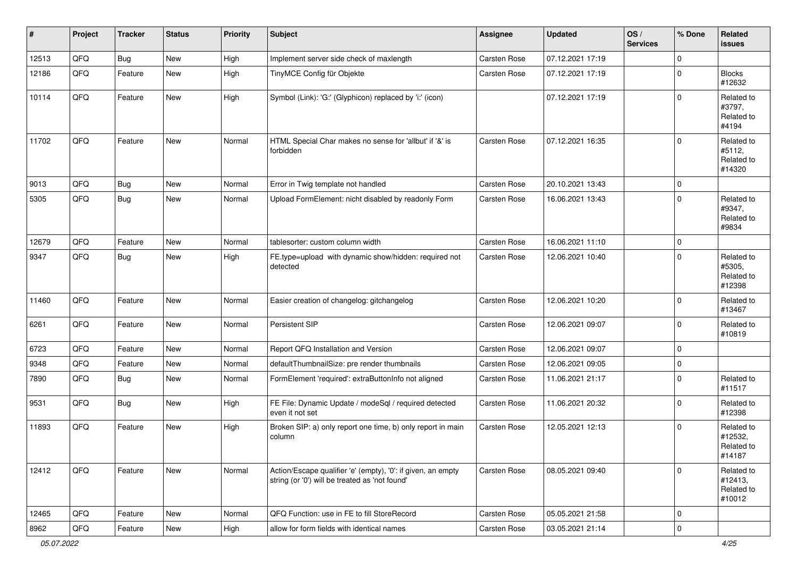| $\vert$ # | Project | <b>Tracker</b> | <b>Status</b> | <b>Priority</b> | <b>Subject</b>                                                                                                 | Assignee            | <b>Updated</b>   | OS/<br><b>Services</b> | % Done      | <b>Related</b><br><b>issues</b>               |
|-----------|---------|----------------|---------------|-----------------|----------------------------------------------------------------------------------------------------------------|---------------------|------------------|------------------------|-------------|-----------------------------------------------|
| 12513     | QFQ     | Bug            | New           | High            | Implement server side check of maxlength                                                                       | Carsten Rose        | 07.12.2021 17:19 |                        | $\mathbf 0$ |                                               |
| 12186     | QFQ     | Feature        | <b>New</b>    | High            | TinyMCE Config für Objekte                                                                                     | <b>Carsten Rose</b> | 07.12.2021 17:19 |                        | $\mathbf 0$ | <b>Blocks</b><br>#12632                       |
| 10114     | QFQ     | Feature        | New           | High            | Symbol (Link): 'G:' (Glyphicon) replaced by 'i:' (icon)                                                        |                     | 07.12.2021 17:19 |                        | $\mathbf 0$ | Related to<br>#3797,<br>Related to<br>#4194   |
| 11702     | QFQ     | Feature        | <b>New</b>    | Normal          | HTML Special Char makes no sense for 'allbut' if '&' is<br>forbidden                                           | <b>Carsten Rose</b> | 07.12.2021 16:35 |                        | $\mathbf 0$ | Related to<br>#5112,<br>Related to<br>#14320  |
| 9013      | QFQ     | Bug            | New           | Normal          | Error in Twig template not handled                                                                             | Carsten Rose        | 20.10.2021 13:43 |                        | $\mathbf 0$ |                                               |
| 5305      | QFQ     | Bug            | New           | Normal          | Upload FormElement: nicht disabled by readonly Form                                                            | Carsten Rose        | 16.06.2021 13:43 |                        | $\mathbf 0$ | Related to<br>#9347,<br>Related to<br>#9834   |
| 12679     | QFQ     | Feature        | New           | Normal          | tablesorter: custom column width                                                                               | Carsten Rose        | 16.06.2021 11:10 |                        | $\mathbf 0$ |                                               |
| 9347      | QFQ     | <b>Bug</b>     | New           | High            | FE.type=upload with dynamic show/hidden: required not<br>detected                                              | Carsten Rose        | 12.06.2021 10:40 |                        | $\Omega$    | Related to<br>#5305,<br>Related to<br>#12398  |
| 11460     | QFQ     | Feature        | New           | Normal          | Easier creation of changelog: gitchangelog                                                                     | Carsten Rose        | 12.06.2021 10:20 |                        | $\mathbf 0$ | Related to<br>#13467                          |
| 6261      | QFQ     | Feature        | New           | Normal          | Persistent SIP                                                                                                 | Carsten Rose        | 12.06.2021 09:07 |                        | $\mathbf 0$ | Related to<br>#10819                          |
| 6723      | QFQ     | Feature        | <b>New</b>    | Normal          | Report QFQ Installation and Version                                                                            | Carsten Rose        | 12.06.2021 09:07 |                        | $\mathbf 0$ |                                               |
| 9348      | QFQ     | Feature        | New           | Normal          | defaultThumbnailSize: pre render thumbnails                                                                    | Carsten Rose        | 12.06.2021 09:05 |                        | $\mathbf 0$ |                                               |
| 7890      | QFQ     | Bug            | New           | Normal          | FormElement 'required': extraButtonInfo not aligned                                                            | Carsten Rose        | 11.06.2021 21:17 |                        | $\mathbf 0$ | Related to<br>#11517                          |
| 9531      | QFQ     | <b>Bug</b>     | New           | High            | FE File: Dynamic Update / modeSql / required detected<br>even it not set                                       | Carsten Rose        | 11.06.2021 20:32 |                        | $\mathbf 0$ | Related to<br>#12398                          |
| 11893     | QFQ     | Feature        | New           | High            | Broken SIP: a) only report one time, b) only report in main<br>column                                          | Carsten Rose        | 12.05.2021 12:13 |                        | $\mathbf 0$ | Related to<br>#12532,<br>Related to<br>#14187 |
| 12412     | QFQ     | Feature        | New           | Normal          | Action/Escape qualifier 'e' (empty), '0': if given, an empty<br>string (or '0') will be treated as 'not found' | Carsten Rose        | 08.05.2021 09:40 |                        | $\mathbf 0$ | Related to<br>#12413,<br>Related to<br>#10012 |
| 12465     | QFQ     | Feature        | New           | Normal          | QFQ Function: use in FE to fill StoreRecord                                                                    | Carsten Rose        | 05.05.2021 21:58 |                        | $\mathbf 0$ |                                               |
| 8962      | QFQ     | Feature        | New           | High            | allow for form fields with identical names                                                                     | Carsten Rose        | 03.05.2021 21:14 |                        | $\pmb{0}$   |                                               |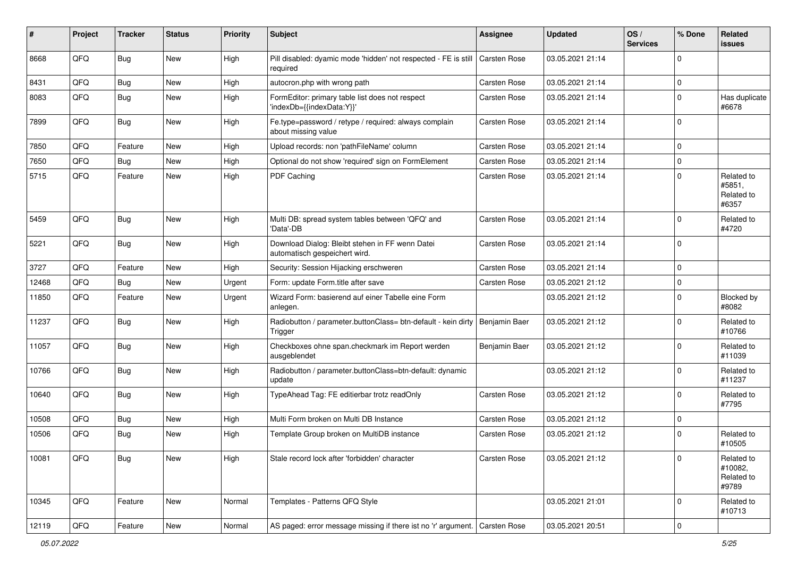| #     | Project | <b>Tracker</b> | <b>Status</b> | <b>Priority</b> | <b>Subject</b>                                                                   | <b>Assignee</b> | <b>Updated</b>   | OS/<br><b>Services</b> | % Done      | <b>Related</b><br><b>issues</b>              |
|-------|---------|----------------|---------------|-----------------|----------------------------------------------------------------------------------|-----------------|------------------|------------------------|-------------|----------------------------------------------|
| 8668  | QFQ     | Bug            | New           | High            | Pill disabled: dyamic mode 'hidden' not respected - FE is still<br>required      | Carsten Rose    | 03.05.2021 21:14 |                        | $\Omega$    |                                              |
| 8431  | QFQ     | Bug            | New           | High            | autocron.php with wrong path                                                     | Carsten Rose    | 03.05.2021 21:14 |                        | 0           |                                              |
| 8083  | QFQ     | Bug            | New           | High            | FormEditor: primary table list does not respect<br>'indexDb={{indexData:Y}}'     | Carsten Rose    | 03.05.2021 21:14 |                        | $\Omega$    | Has duplicate<br>#6678                       |
| 7899  | QFQ     | Bug            | New           | High            | Fe.type=password / retype / required: always complain<br>about missing value     | Carsten Rose    | 03.05.2021 21:14 |                        | $\Omega$    |                                              |
| 7850  | QFQ     | Feature        | <b>New</b>    | High            | Upload records: non 'pathFileName' column                                        | Carsten Rose    | 03.05.2021 21:14 |                        | $\Omega$    |                                              |
| 7650  | QFQ     | Bug            | <b>New</b>    | High            | Optional do not show 'required' sign on FormElement                              | Carsten Rose    | 03.05.2021 21:14 |                        | $\mathbf 0$ |                                              |
| 5715  | QFQ     | Feature        | <b>New</b>    | High            | PDF Caching                                                                      | Carsten Rose    | 03.05.2021 21:14 |                        | $\Omega$    | Related to<br>#5851,<br>Related to<br>#6357  |
| 5459  | QFQ     | Bug            | New           | High            | Multi DB: spread system tables between 'QFQ' and<br>'Data'-DB                    | Carsten Rose    | 03.05.2021 21:14 |                        | $\Omega$    | Related to<br>#4720                          |
| 5221  | QFQ     | <b>Bug</b>     | <b>New</b>    | High            | Download Dialog: Bleibt stehen in FF wenn Datei<br>automatisch gespeichert wird. | Carsten Rose    | 03.05.2021 21:14 |                        | $\Omega$    |                                              |
| 3727  | QFQ     | Feature        | <b>New</b>    | High            | Security: Session Hijacking erschweren                                           | Carsten Rose    | 03.05.2021 21:14 |                        | $\mathbf 0$ |                                              |
| 12468 | QFQ     | <b>Bug</b>     | New           | Urgent          | Form: update Form.title after save                                               | Carsten Rose    | 03.05.2021 21:12 |                        | 0           |                                              |
| 11850 | QFQ     | Feature        | New           | Urgent          | Wizard Form: basierend auf einer Tabelle eine Form<br>anlegen.                   |                 | 03.05.2021 21:12 |                        | $\mathbf 0$ | Blocked by<br>#8082                          |
| 11237 | QFQ     | Bug            | New           | High            | Radiobutton / parameter.buttonClass= btn-default - kein dirty<br>Trigger         | Benjamin Baer   | 03.05.2021 21:12 |                        | $\Omega$    | Related to<br>#10766                         |
| 11057 | QFQ     | <b>Bug</b>     | <b>New</b>    | High            | Checkboxes ohne span.checkmark im Report werden<br>ausgeblendet                  | Benjamin Baer   | 03.05.2021 21:12 |                        | $\mathbf 0$ | Related to<br>#11039                         |
| 10766 | QFQ     | <b>Bug</b>     | New           | High            | Radiobutton / parameter.buttonClass=btn-default: dynamic<br>update               |                 | 03.05.2021 21:12 |                        | $\Omega$    | Related to<br>#11237                         |
| 10640 | QFQ     | <b>Bug</b>     | New           | High            | TypeAhead Tag: FE editierbar trotz readOnly                                      | Carsten Rose    | 03.05.2021 21:12 |                        | $\Omega$    | Related to<br>#7795                          |
| 10508 | QFQ     | <b>Bug</b>     | New           | High            | Multi Form broken on Multi DB Instance                                           | Carsten Rose    | 03.05.2021 21:12 |                        | $\Omega$    |                                              |
| 10506 | QFQ     | <b>Bug</b>     | <b>New</b>    | High            | Template Group broken on MultiDB instance                                        | Carsten Rose    | 03.05.2021 21:12 |                        | $\Omega$    | Related to<br>#10505                         |
| 10081 | QFQ     | <b>Bug</b>     | <b>New</b>    | High            | Stale record lock after 'forbidden' character                                    | Carsten Rose    | 03.05.2021 21:12 |                        | 0           | Related to<br>#10082,<br>Related to<br>#9789 |
| 10345 | QFQ     | Feature        | New           | Normal          | Templates - Patterns QFQ Style                                                   |                 | 03.05.2021 21:01 |                        | $\mathbf 0$ | Related to<br>#10713                         |
| 12119 | QFG     | Feature        | New           | Normal          | AS paged: error message missing if there ist no 'r' argument. Carsten Rose       |                 | 03.05.2021 20:51 |                        | $\pmb{0}$   |                                              |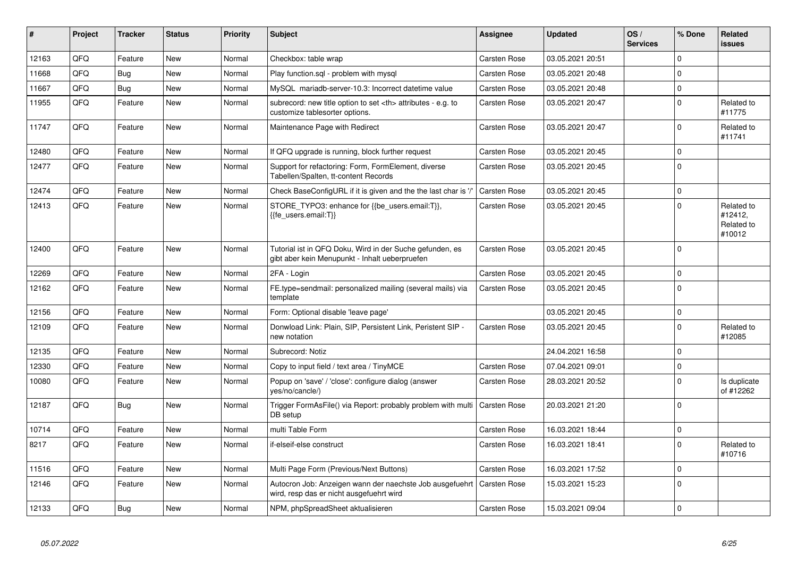| #     | Project | <b>Tracker</b> | <b>Status</b> | <b>Priority</b> | <b>Subject</b>                                                                                             | <b>Assignee</b>                                        | <b>Updated</b>   | OS/<br><b>Services</b> | % Done         | <b>Related</b><br><b>issues</b>               |                      |
|-------|---------|----------------|---------------|-----------------|------------------------------------------------------------------------------------------------------------|--------------------------------------------------------|------------------|------------------------|----------------|-----------------------------------------------|----------------------|
| 12163 | QFQ     | Feature        | <b>New</b>    | Normal          | Checkbox: table wrap                                                                                       | Carsten Rose                                           | 03.05.2021 20:51 |                        | 0              |                                               |                      |
| 11668 | QFQ     | Bug            | <b>New</b>    | Normal          | Play function.sql - problem with mysql                                                                     | Carsten Rose                                           | 03.05.2021 20:48 |                        | 0              |                                               |                      |
| 11667 | QFQ     | Bug            | New           | Normal          | MySQL mariadb-server-10.3: Incorrect datetime value                                                        | Carsten Rose                                           | 03.05.2021 20:48 |                        | 0              |                                               |                      |
| 11955 | QFQ     | Feature        | <b>New</b>    | Normal          | subrecord: new title option to set <th> attributes - e.g. to<br/>customize tablesorter options.</th>       | attributes - e.g. to<br>customize tablesorter options. | Carsten Rose     | 03.05.2021 20:47       |                | $\mathbf{0}$                                  | Related to<br>#11775 |
| 11747 | QFQ     | Feature        | New           | Normal          | Maintenance Page with Redirect                                                                             | Carsten Rose                                           | 03.05.2021 20:47 |                        | $\mathbf 0$    | Related to<br>#11741                          |                      |
| 12480 | QFQ     | Feature        | New           | Normal          | If QFQ upgrade is running, block further request                                                           | Carsten Rose                                           | 03.05.2021 20:45 |                        | $\Omega$       |                                               |                      |
| 12477 | QFQ     | Feature        | <b>New</b>    | Normal          | Support for refactoring: Form, FormElement, diverse<br>Tabellen/Spalten, tt-content Records                | Carsten Rose                                           | 03.05.2021 20:45 |                        | $\Omega$       |                                               |                      |
| 12474 | QFQ     | Feature        | <b>New</b>    | Normal          | Check BaseConfigURL if it is given and the the last char is '/'                                            | Carsten Rose                                           | 03.05.2021 20:45 |                        | 0              |                                               |                      |
| 12413 | QFQ     | Feature        | <b>New</b>    | Normal          | STORE_TYPO3: enhance for {{be_users.email:T}},<br>{{fe users.email:T}}                                     | Carsten Rose                                           | 03.05.2021 20:45 |                        | $\mathbf 0$    | Related to<br>#12412,<br>Related to<br>#10012 |                      |
| 12400 | QFQ     | Feature        | <b>New</b>    | Normal          | Tutorial ist in QFQ Doku, Wird in der Suche gefunden, es<br>gibt aber kein Menupunkt - Inhalt ueberpruefen | Carsten Rose                                           | 03.05.2021 20:45 |                        | 0              |                                               |                      |
| 12269 | QFQ     | Feature        | <b>New</b>    | Normal          | 2FA - Login                                                                                                | Carsten Rose                                           | 03.05.2021 20:45 |                        | 0              |                                               |                      |
| 12162 | QFQ     | Feature        | <b>New</b>    | Normal          | FE.type=sendmail: personalized mailing (several mails) via<br>template                                     | <b>Carsten Rose</b>                                    | 03.05.2021 20:45 |                        | $\overline{0}$ |                                               |                      |
| 12156 | QFQ     | Feature        | <b>New</b>    | Normal          | Form: Optional disable 'leave page'                                                                        |                                                        | 03.05.2021 20:45 |                        | $\mathbf 0$    |                                               |                      |
| 12109 | QFQ     | Feature        | <b>New</b>    | Normal          | Donwload Link: Plain, SIP, Persistent Link, Peristent SIP -<br>new notation                                | Carsten Rose                                           | 03.05.2021 20:45 |                        | 0              | Related to<br>#12085                          |                      |
| 12135 | QFQ     | Feature        | <b>New</b>    | Normal          | Subrecord: Notiz                                                                                           |                                                        | 24.04.2021 16:58 |                        | 0              |                                               |                      |
| 12330 | QFQ     | Feature        | New           | Normal          | Copy to input field / text area / TinyMCE                                                                  | Carsten Rose                                           | 07.04.2021 09:01 |                        | 0              |                                               |                      |
| 10080 | QFQ     | Feature        | <b>New</b>    | Normal          | Popup on 'save' / 'close': configure dialog (answer<br>yes/no/cancle/)                                     | Carsten Rose                                           | 28.03.2021 20:52 |                        | $\mathbf 0$    | Is duplicate<br>of #12262                     |                      |
| 12187 | QFQ     | <b>Bug</b>     | <b>New</b>    | Normal          | Trigger FormAsFile() via Report: probably problem with multi<br>DB setup                                   | <b>Carsten Rose</b>                                    | 20.03.2021 21:20 |                        | 0              |                                               |                      |
| 10714 | QFQ     | Feature        | New           | Normal          | multi Table Form                                                                                           | Carsten Rose                                           | 16.03.2021 18:44 |                        | 0              |                                               |                      |
| 8217  | QFQ     | Feature        | New           | Normal          | if-elseif-else construct                                                                                   | Carsten Rose                                           | 16.03.2021 18:41 |                        | $\Omega$       | Related to<br>#10716                          |                      |
| 11516 | QFQ     | Feature        | <b>New</b>    | Normal          | Multi Page Form (Previous/Next Buttons)                                                                    | Carsten Rose                                           | 16.03.2021 17:52 |                        | 0              |                                               |                      |
| 12146 | QFQ     | Feature        | New           | Normal          | Autocron Job: Anzeigen wann der naechste Job ausgefuehrt<br>wird, resp das er nicht ausgefuehrt wird       | Carsten Rose                                           | 15.03.2021 15:23 |                        | $\overline{0}$ |                                               |                      |
| 12133 | QFQ     | Bug            | New           | Normal          | NPM, phpSpreadSheet aktualisieren                                                                          | Carsten Rose                                           | 15.03.2021 09:04 |                        | $\mathbf 0$    |                                               |                      |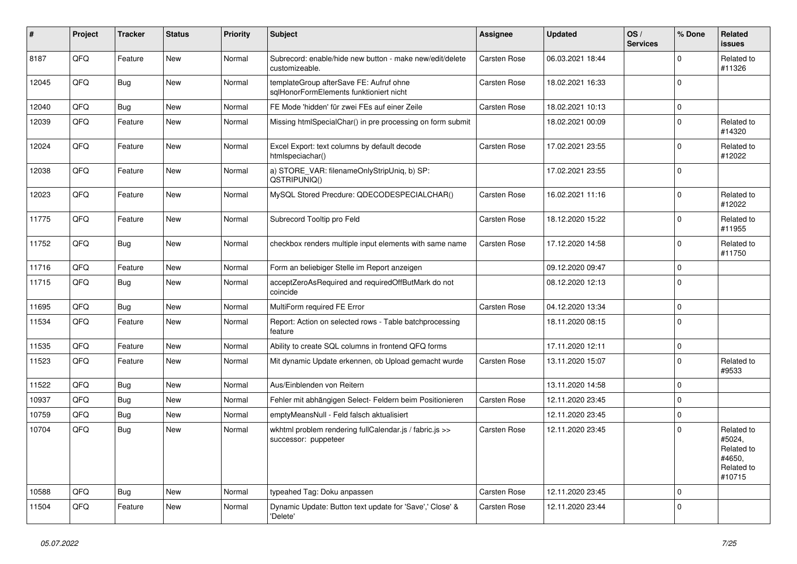| #     | Project | <b>Tracker</b> | <b>Status</b> | <b>Priority</b> | <b>Subject</b>                                                                     | <b>Assignee</b>     | <b>Updated</b>   | OS/<br><b>Services</b> | % Done      | <b>Related</b><br><b>issues</b>                                      |
|-------|---------|----------------|---------------|-----------------|------------------------------------------------------------------------------------|---------------------|------------------|------------------------|-------------|----------------------------------------------------------------------|
| 8187  | QFQ     | Feature        | New           | Normal          | Subrecord: enable/hide new button - make new/edit/delete<br>customizeable.         | Carsten Rose        | 06.03.2021 18:44 |                        | $\Omega$    | Related to<br>#11326                                                 |
| 12045 | QFQ     | <b>Bug</b>     | New           | Normal          | templateGroup afterSave FE: Aufruf ohne<br>sqlHonorFormElements funktioniert nicht | Carsten Rose        | 18.02.2021 16:33 |                        | $\Omega$    |                                                                      |
| 12040 | QFQ     | <b>Bug</b>     | New           | Normal          | FE Mode 'hidden' für zwei FEs auf einer Zeile                                      | Carsten Rose        | 18.02.2021 10:13 |                        | 0           |                                                                      |
| 12039 | QFQ     | Feature        | <b>New</b>    | Normal          | Missing htmlSpecialChar() in pre processing on form submit                         |                     | 18.02.2021 00:09 |                        | $\Omega$    | Related to<br>#14320                                                 |
| 12024 | QFQ     | Feature        | New           | Normal          | Excel Export: text columns by default decode<br>htmlspeciachar()                   | Carsten Rose        | 17.02.2021 23:55 |                        | $\Omega$    | Related to<br>#12022                                                 |
| 12038 | QFQ     | Feature        | <b>New</b>    | Normal          | a) STORE_VAR: filenameOnlyStripUniq, b) SP:<br>QSTRIPUNIQ()                        |                     | 17.02.2021 23:55 |                        | $\mathbf 0$ |                                                                      |
| 12023 | QFQ     | Feature        | New           | Normal          | MySQL Stored Precdure: QDECODESPECIALCHAR()                                        | Carsten Rose        | 16.02.2021 11:16 |                        | $\mathbf 0$ | Related to<br>#12022                                                 |
| 11775 | QFQ     | Feature        | New           | Normal          | Subrecord Tooltip pro Feld                                                         | Carsten Rose        | 18.12.2020 15:22 |                        | $\mathbf 0$ | Related to<br>#11955                                                 |
| 11752 | QFQ     | <b>Bug</b>     | <b>New</b>    | Normal          | checkbox renders multiple input elements with same name                            | Carsten Rose        | 17.12.2020 14:58 |                        | $\mathbf 0$ | Related to<br>#11750                                                 |
| 11716 | QFQ     | Feature        | New           | Normal          | Form an beliebiger Stelle im Report anzeigen                                       |                     | 09.12.2020 09:47 |                        | 0           |                                                                      |
| 11715 | QFQ     | Bug            | New           | Normal          | acceptZeroAsRequired and requiredOffButMark do not<br>coincide                     |                     | 08.12.2020 12:13 |                        | $\mathbf 0$ |                                                                      |
| 11695 | QFQ     | Bug            | <b>New</b>    | Normal          | MultiForm required FE Error                                                        | <b>Carsten Rose</b> | 04.12.2020 13:34 |                        | $\mathbf 0$ |                                                                      |
| 11534 | QFQ     | Feature        | New           | Normal          | Report: Action on selected rows - Table batchprocessing<br>feature                 |                     | 18.11.2020 08:15 |                        | $\Omega$    |                                                                      |
| 11535 | QFQ     | Feature        | New           | Normal          | Ability to create SQL columns in frontend QFQ forms                                |                     | 17.11.2020 12:11 |                        | $\mathbf 0$ |                                                                      |
| 11523 | QFQ     | Feature        | New           | Normal          | Mit dynamic Update erkennen, ob Upload gemacht wurde                               | Carsten Rose        | 13.11.2020 15:07 |                        | $\Omega$    | Related to<br>#9533                                                  |
| 11522 | QFQ     | <b>Bug</b>     | New           | Normal          | Aus/Einblenden von Reitern                                                         |                     | 13.11.2020 14:58 |                        | 0           |                                                                      |
| 10937 | QFQ     | <b>Bug</b>     | New           | Normal          | Fehler mit abhängigen Select- Feldern beim Positionieren                           | <b>Carsten Rose</b> | 12.11.2020 23:45 |                        | $\Omega$    |                                                                      |
| 10759 | QFQ     | <b>Bug</b>     | New           | Normal          | emptyMeansNull - Feld falsch aktualisiert                                          |                     | 12.11.2020 23:45 |                        | $\mathbf 0$ |                                                                      |
| 10704 | QFQ     | Bug            | New           | Normal          | wkhtml problem rendering fullCalendar.js / fabric.js >><br>successor: puppeteer    | Carsten Rose        | 12.11.2020 23:45 |                        | $\mathbf 0$ | Related to<br>#5024,<br>Related to<br>#4650,<br>Related to<br>#10715 |
| 10588 | QFQ     | <b>Bug</b>     | <b>New</b>    | Normal          | typeahed Tag: Doku anpassen                                                        | Carsten Rose        | 12.11.2020 23:45 |                        | $\mathbf 0$ |                                                                      |
| 11504 | QFQ     | Feature        | New           | Normal          | Dynamic Update: Button text update for 'Save',' Close' &<br>'Delete'               | Carsten Rose        | 12.11.2020 23:44 |                        | $\mathbf 0$ |                                                                      |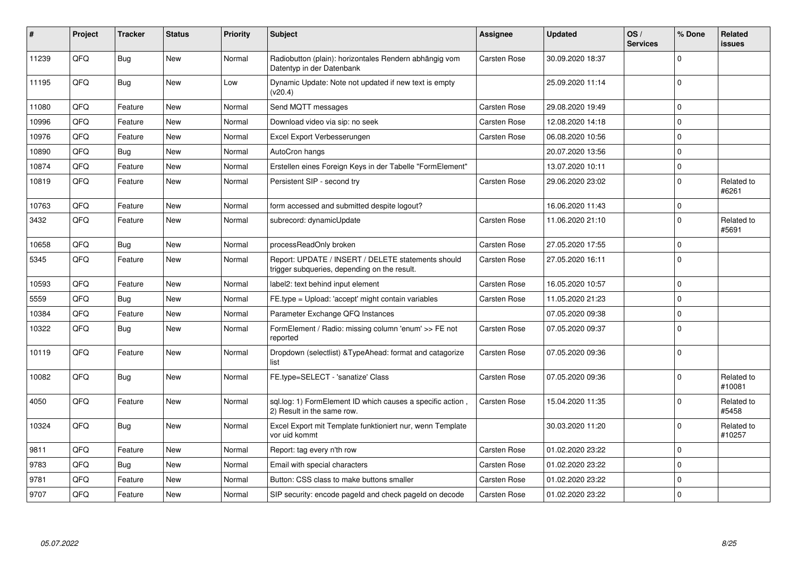| ∦     | Project | <b>Tracker</b> | <b>Status</b> | Priority | <b>Subject</b>                                                                                     | <b>Assignee</b>     | <b>Updated</b>   | OS/<br><b>Services</b> | % Done      | <b>Related</b><br><b>issues</b> |
|-------|---------|----------------|---------------|----------|----------------------------------------------------------------------------------------------------|---------------------|------------------|------------------------|-------------|---------------------------------|
| 11239 | QFQ     | Bug            | <b>New</b>    | Normal   | Radiobutton (plain): horizontales Rendern abhängig vom<br>Datentyp in der Datenbank                | Carsten Rose        | 30.09.2020 18:37 |                        | $\Omega$    |                                 |
| 11195 | QFQ     | Bug            | <b>New</b>    | Low      | Dynamic Update: Note not updated if new text is empty<br>(v20.4)                                   |                     | 25.09.2020 11:14 |                        | $\Omega$    |                                 |
| 11080 | QFQ     | Feature        | <b>New</b>    | Normal   | Send MQTT messages                                                                                 | Carsten Rose        | 29.08.2020 19:49 |                        | $\Omega$    |                                 |
| 10996 | QFQ     | Feature        | <b>New</b>    | Normal   | Download video via sip: no seek                                                                    | Carsten Rose        | 12.08.2020 14:18 |                        | $\Omega$    |                                 |
| 10976 | QFQ     | Feature        | <b>New</b>    | Normal   | Excel Export Verbesserungen                                                                        | <b>Carsten Rose</b> | 06.08.2020 10:56 |                        | $\mathbf 0$ |                                 |
| 10890 | QFQ     | Bug            | <b>New</b>    | Normal   | AutoCron hangs                                                                                     |                     | 20.07.2020 13:56 |                        | $\Omega$    |                                 |
| 10874 | QFQ     | Feature        | New           | Normal   | Erstellen eines Foreign Keys in der Tabelle "FormElement"                                          |                     | 13.07.2020 10:11 |                        | 0           |                                 |
| 10819 | QFQ     | Feature        | <b>New</b>    | Normal   | Persistent SIP - second try                                                                        | Carsten Rose        | 29.06.2020 23:02 |                        | $\Omega$    | Related to<br>#6261             |
| 10763 | QFQ     | Feature        | <b>New</b>    | Normal   | form accessed and submitted despite logout?                                                        |                     | 16.06.2020 11:43 |                        | $\Omega$    |                                 |
| 3432  | QFQ     | Feature        | New           | Normal   | subrecord: dynamicUpdate                                                                           | Carsten Rose        | 11.06.2020 21:10 |                        | $\Omega$    | Related to<br>#5691             |
| 10658 | QFQ     | Bug            | New           | Normal   | processReadOnly broken                                                                             | Carsten Rose        | 27.05.2020 17:55 |                        | $\Omega$    |                                 |
| 5345  | QFQ     | Feature        | <b>New</b>    | Normal   | Report: UPDATE / INSERT / DELETE statements should<br>trigger subqueries, depending on the result. | Carsten Rose        | 27.05.2020 16:11 |                        | $\Omega$    |                                 |
| 10593 | QFQ     | Feature        | <b>New</b>    | Normal   | label2: text behind input element                                                                  | Carsten Rose        | 16.05.2020 10:57 |                        | 0           |                                 |
| 5559  | QFQ     | Bug            | <b>New</b>    | Normal   | FE.type = Upload: 'accept' might contain variables                                                 | Carsten Rose        | 11.05.2020 21:23 |                        | $\Omega$    |                                 |
| 10384 | QFQ     | Feature        | <b>New</b>    | Normal   | Parameter Exchange QFQ Instances                                                                   |                     | 07.05.2020 09:38 |                        | $\Omega$    |                                 |
| 10322 | QFQ     | Bug            | <b>New</b>    | Normal   | FormElement / Radio: missing column 'enum' >> FE not<br>reported                                   | Carsten Rose        | 07.05.2020 09:37 |                        | $\mathbf 0$ |                                 |
| 10119 | QFQ     | Feature        | <b>New</b>    | Normal   | Dropdown (selectlist) & Type Ahead: format and catagorize<br>list                                  | Carsten Rose        | 07.05.2020 09:36 |                        | $\Omega$    |                                 |
| 10082 | QFQ     | Bug            | <b>New</b>    | Normal   | FE.type=SELECT - 'sanatize' Class                                                                  | Carsten Rose        | 07.05.2020 09:36 |                        | $\Omega$    | Related to<br>#10081            |
| 4050  | QFQ     | Feature        | <b>New</b>    | Normal   | sql.log: 1) FormElement ID which causes a specific action,<br>2) Result in the same row.           | Carsten Rose        | 15.04.2020 11:35 |                        | $\Omega$    | Related to<br>#5458             |
| 10324 | QFQ     | Bug            | <b>New</b>    | Normal   | Excel Export mit Template funktioniert nur, wenn Template<br>vor uid kommt                         |                     | 30.03.2020 11:20 |                        | $\Omega$    | Related to<br>#10257            |
| 9811  | QFQ     | Feature        | New           | Normal   | Report: tag every n'th row                                                                         | Carsten Rose        | 01.02.2020 23:22 |                        | $\Omega$    |                                 |
| 9783  | QFQ     | Bug            | <b>New</b>    | Normal   | Email with special characters                                                                      | Carsten Rose        | 01.02.2020 23:22 |                        | $\Omega$    |                                 |
| 9781  | QFQ     | Feature        | <b>New</b>    | Normal   | Button: CSS class to make buttons smaller                                                          | Carsten Rose        | 01.02.2020 23:22 |                        | $\Omega$    |                                 |
| 9707  | QFQ     | Feature        | <b>New</b>    | Normal   | SIP security: encode pageld and check pageld on decode                                             | <b>Carsten Rose</b> | 01.02.2020 23:22 |                        | $\mathbf 0$ |                                 |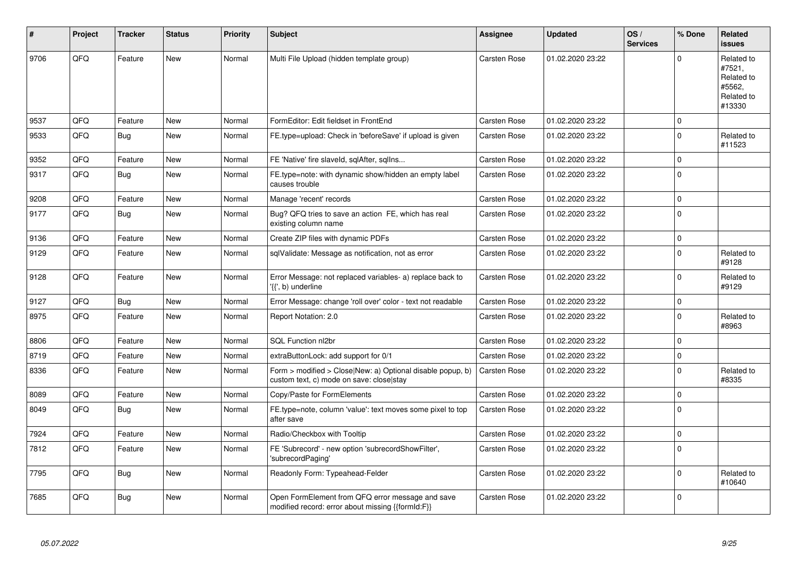| #    | Project | <b>Tracker</b> | <b>Status</b> | <b>Priority</b> | <b>Subject</b>                                                                                         | Assignee            | <b>Updated</b>   | OS/<br><b>Services</b> | % Done      | <b>Related</b><br><b>issues</b>                                      |
|------|---------|----------------|---------------|-----------------|--------------------------------------------------------------------------------------------------------|---------------------|------------------|------------------------|-------------|----------------------------------------------------------------------|
| 9706 | QFQ     | Feature        | <b>New</b>    | Normal          | Multi File Upload (hidden template group)                                                              | <b>Carsten Rose</b> | 01.02.2020 23:22 |                        | $\Omega$    | Related to<br>#7521,<br>Related to<br>#5562,<br>Related to<br>#13330 |
| 9537 | QFQ     | Feature        | <b>New</b>    | Normal          | FormEditor: Edit fieldset in FrontEnd                                                                  | <b>Carsten Rose</b> | 01.02.2020 23:22 |                        | $\mathbf 0$ |                                                                      |
| 9533 | QFQ     | Bug            | <b>New</b>    | Normal          | FE.type=upload: Check in 'beforeSave' if upload is given                                               | <b>Carsten Rose</b> | 01.02.2020 23:22 |                        | $\Omega$    | Related to<br>#11523                                                 |
| 9352 | QFQ     | Feature        | New           | Normal          | FE 'Native' fire slaveld, sqlAfter, sqlIns                                                             | Carsten Rose        | 01.02.2020 23:22 |                        | $\Omega$    |                                                                      |
| 9317 | QFQ     | Bug            | <b>New</b>    | Normal          | FE.type=note: with dynamic show/hidden an empty label<br>causes trouble                                | Carsten Rose        | 01.02.2020 23:22 |                        | $\Omega$    |                                                                      |
| 9208 | QFQ     | Feature        | New           | Normal          | Manage 'recent' records                                                                                | <b>Carsten Rose</b> | 01.02.2020 23:22 |                        | $\mathbf 0$ |                                                                      |
| 9177 | QFQ     | Bug            | <b>New</b>    | Normal          | Bug? QFQ tries to save an action FE, which has real<br>existing column name                            | Carsten Rose        | 01.02.2020 23:22 |                        | $\Omega$    |                                                                      |
| 9136 | QFQ     | Feature        | <b>New</b>    | Normal          | Create ZIP files with dynamic PDFs                                                                     | <b>Carsten Rose</b> | 01.02.2020 23:22 |                        | $\mathbf 0$ |                                                                      |
| 9129 | QFQ     | Feature        | <b>New</b>    | Normal          | sqlValidate: Message as notification, not as error                                                     | Carsten Rose        | 01.02.2020 23:22 |                        | $\Omega$    | Related to<br>#9128                                                  |
| 9128 | QFQ     | Feature        | New           | Normal          | Error Message: not replaced variables- a) replace back to<br>'{{', b) underline                        | <b>Carsten Rose</b> | 01.02.2020 23:22 |                        | $\Omega$    | Related to<br>#9129                                                  |
| 9127 | QFQ     | <b>Bug</b>     | <b>New</b>    | Normal          | Error Message: change 'roll over' color - text not readable                                            | Carsten Rose        | 01.02.2020 23:22 |                        | $\Omega$    |                                                                      |
| 8975 | QFQ     | Feature        | New           | Normal          | Report Notation: 2.0                                                                                   | Carsten Rose        | 01.02.2020 23:22 |                        | $\mathbf 0$ | Related to<br>#8963                                                  |
| 8806 | QFQ     | Feature        | <b>New</b>    | Normal          | <b>SQL Function nl2br</b>                                                                              | Carsten Rose        | 01.02.2020 23:22 |                        | $\mathbf 0$ |                                                                      |
| 8719 | QFQ     | Feature        | <b>New</b>    | Normal          | extraButtonLock: add support for 0/1                                                                   | <b>Carsten Rose</b> | 01.02.2020 23:22 |                        | $\mathbf 0$ |                                                                      |
| 8336 | QFQ     | Feature        | New           | Normal          | Form > modified > Close New: a) Optional disable popup, b)<br>custom text, c) mode on save: close stay | Carsten Rose        | 01.02.2020 23:22 |                        | $\Omega$    | Related to<br>#8335                                                  |
| 8089 | QFQ     | Feature        | <b>New</b>    | Normal          | Copy/Paste for FormElements                                                                            | Carsten Rose        | 01.02.2020 23:22 |                        | $\Omega$    |                                                                      |
| 8049 | QFQ     | Bug            | New           | Normal          | FE.type=note, column 'value': text moves some pixel to top<br>after save                               | Carsten Rose        | 01.02.2020 23:22 |                        | $\Omega$    |                                                                      |
| 7924 | QFQ     | Feature        | <b>New</b>    | Normal          | Radio/Checkbox with Tooltip                                                                            | <b>Carsten Rose</b> | 01.02.2020 23:22 |                        | $\mathbf 0$ |                                                                      |
| 7812 | QFQ     | Feature        | New           | Normal          | FE 'Subrecord' - new option 'subrecordShowFilter',<br>'subrecordPaging'                                | Carsten Rose        | 01.02.2020 23:22 |                        | $\Omega$    |                                                                      |
| 7795 | QFQ     | Bug            | <b>New</b>    | Normal          | Readonly Form: Typeahead-Felder                                                                        | Carsten Rose        | 01.02.2020 23:22 |                        | $\mathbf 0$ | Related to<br>#10640                                                 |
| 7685 | QFQ     | Bug            | <b>New</b>    | Normal          | Open FormElement from QFQ error message and save<br>modified record: error about missing {{formId:F}}  | Carsten Rose        | 01.02.2020 23:22 |                        | $\Omega$    |                                                                      |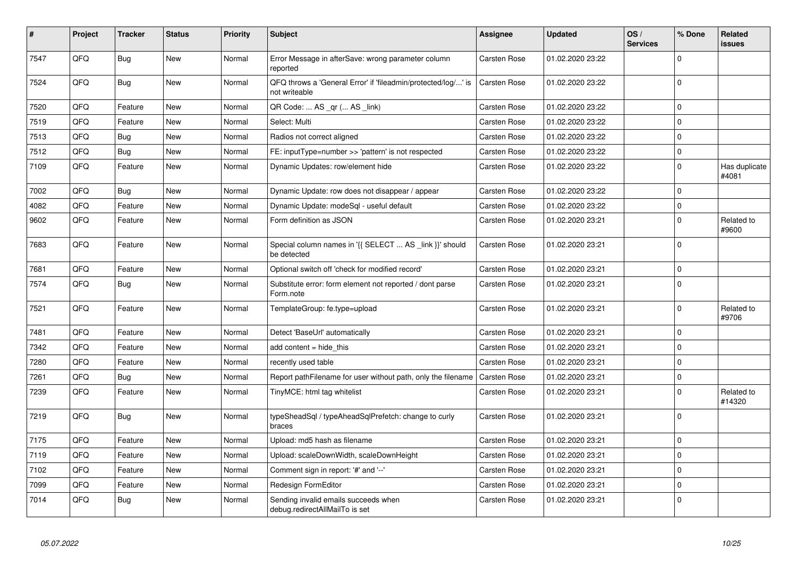| $\vert$ # | Project | <b>Tracker</b> | <b>Status</b> | <b>Priority</b> | <b>Subject</b>                                                                 | <b>Assignee</b> | <b>Updated</b>   | OS/<br><b>Services</b> | % Done      | Related<br>issues      |
|-----------|---------|----------------|---------------|-----------------|--------------------------------------------------------------------------------|-----------------|------------------|------------------------|-------------|------------------------|
| 7547      | QFQ     | Bug            | <b>New</b>    | Normal          | Error Message in afterSave: wrong parameter column<br>reported                 | Carsten Rose    | 01.02.2020 23:22 |                        | $\Omega$    |                        |
| 7524      | QFQ     | Bug            | <b>New</b>    | Normal          | QFQ throws a 'General Error' if 'fileadmin/protected/log/' is<br>not writeable | Carsten Rose    | 01.02.2020 23:22 |                        | $\Omega$    |                        |
| 7520      | QFQ     | Feature        | <b>New</b>    | Normal          | QR Code:  AS _qr ( AS _link)                                                   | Carsten Rose    | 01.02.2020 23:22 |                        | $\Omega$    |                        |
| 7519      | QFQ     | Feature        | <b>New</b>    | Normal          | Select: Multi                                                                  | Carsten Rose    | 01.02.2020 23:22 |                        | $\Omega$    |                        |
| 7513      | QFQ     | <b>Bug</b>     | <b>New</b>    | Normal          | Radios not correct aligned                                                     | Carsten Rose    | 01.02.2020 23:22 |                        | $\Omega$    |                        |
| 7512      | QFQ     | Bug            | <b>New</b>    | Normal          | FE: inputType=number >> 'pattern' is not respected                             | Carsten Rose    | 01.02.2020 23:22 |                        | $\Omega$    |                        |
| 7109      | QFQ     | Feature        | New           | Normal          | Dynamic Updates: row/element hide                                              | Carsten Rose    | 01.02.2020 23:22 |                        | $\Omega$    | Has duplicate<br>#4081 |
| 7002      | QFQ     | <b>Bug</b>     | <b>New</b>    | Normal          | Dynamic Update: row does not disappear / appear                                | Carsten Rose    | 01.02.2020 23:22 |                        | $\Omega$    |                        |
| 4082      | QFQ     | Feature        | <b>New</b>    | Normal          | Dynamic Update: modeSql - useful default                                       | Carsten Rose    | 01.02.2020 23:22 |                        | $\Omega$    |                        |
| 9602      | QFQ     | Feature        | <b>New</b>    | Normal          | Form definition as JSON                                                        | Carsten Rose    | 01.02.2020 23:21 |                        | $\Omega$    | Related to<br>#9600    |
| 7683      | QFQ     | Feature        | <b>New</b>    | Normal          | Special column names in '{{ SELECT  AS _link }}' should<br>be detected         | Carsten Rose    | 01.02.2020 23:21 |                        | $\Omega$    |                        |
| 7681      | QFQ     | Feature        | <b>New</b>    | Normal          | Optional switch off 'check for modified record'                                | Carsten Rose    | 01.02.2020 23:21 |                        | $\Omega$    |                        |
| 7574      | QFQ     | <b>Bug</b>     | New           | Normal          | Substitute error: form element not reported / dont parse<br>Form.note          | Carsten Rose    | 01.02.2020 23:21 |                        | $\Omega$    |                        |
| 7521      | QFQ     | Feature        | <b>New</b>    | Normal          | TemplateGroup: fe.type=upload                                                  | Carsten Rose    | 01.02.2020 23:21 |                        | $\Omega$    | Related to<br>#9706    |
| 7481      | QFQ     | Feature        | New           | Normal          | Detect 'BaseUrl' automatically                                                 | Carsten Rose    | 01.02.2020 23:21 |                        | $\Omega$    |                        |
| 7342      | QFQ     | Feature        | New           | Normal          | add content = hide this                                                        | Carsten Rose    | 01.02.2020 23:21 |                        | $\Omega$    |                        |
| 7280      | QFQ     | Feature        | New           | Normal          | recently used table                                                            | Carsten Rose    | 01.02.2020 23:21 |                        | $\Omega$    |                        |
| 7261      | QFQ     | Bug            | <b>New</b>    | Normal          | Report pathFilename for user without path, only the filename                   | Carsten Rose    | 01.02.2020 23:21 |                        | $\mathbf 0$ |                        |
| 7239      | QFQ     | Feature        | New           | Normal          | TinyMCE: html tag whitelist                                                    | Carsten Rose    | 01.02.2020 23:21 |                        | $\Omega$    | Related to<br>#14320   |
| 7219      | QFQ     | Bug            | <b>New</b>    | Normal          | typeSheadSql / typeAheadSqlPrefetch: change to curly<br>braces                 | Carsten Rose    | 01.02.2020 23:21 |                        | $\Omega$    |                        |
| 7175      | QFQ     | Feature        | <b>New</b>    | Normal          | Upload: md5 hash as filename                                                   | Carsten Rose    | 01.02.2020 23:21 |                        | $\Omega$    |                        |
| 7119      | QFQ     | Feature        | <b>New</b>    | Normal          | Upload: scaleDownWidth, scaleDownHeight                                        | Carsten Rose    | 01.02.2020 23:21 |                        | $\Omega$    |                        |
| 7102      | QFQ     | Feature        | <b>New</b>    | Normal          | Comment sign in report: '#' and '--'                                           | Carsten Rose    | 01.02.2020 23:21 |                        | $\Omega$    |                        |
| 7099      | QFQ     | Feature        | <b>New</b>    | Normal          | Redesign FormEditor                                                            | Carsten Rose    | 01.02.2020 23:21 |                        | $\Omega$    |                        |
| 7014      | QFQ     | Bug            | <b>New</b>    | Normal          | Sending invalid emails succeeds when<br>debug.redirectAllMailTo is set         | Carsten Rose    | 01.02.2020 23:21 |                        | $\Omega$    |                        |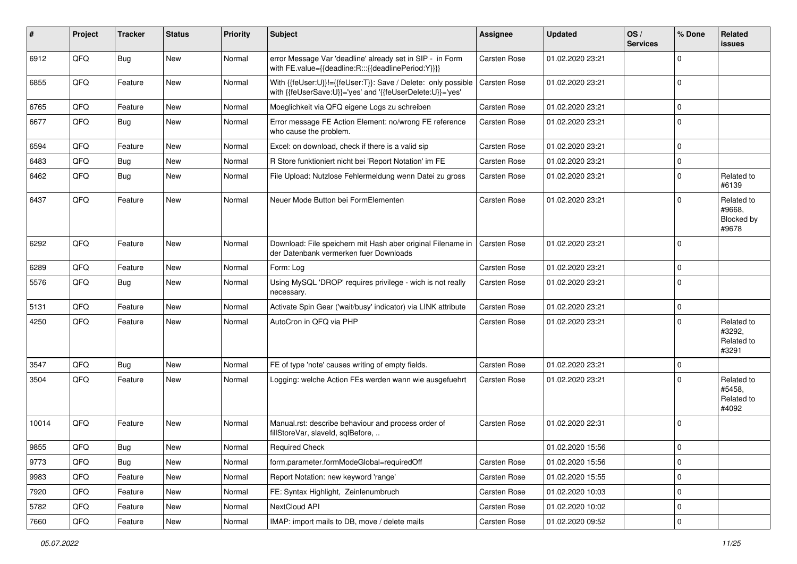| #     | Project | <b>Tracker</b> | <b>Status</b> | <b>Priority</b> | <b>Subject</b>                                                                                                             | <b>Assignee</b> | <b>Updated</b>   | OS/<br><b>Services</b> | % Done      | <b>Related</b><br>issues                           |
|-------|---------|----------------|---------------|-----------------|----------------------------------------------------------------------------------------------------------------------------|-----------------|------------------|------------------------|-------------|----------------------------------------------------|
| 6912  | QFQ     | <b>Bug</b>     | New           | Normal          | error Message Var 'deadline' already set in SIP - in Form<br>with FE.value={{deadline:R:::{{deadlinePeriod:Y}}}}           | Carsten Rose    | 01.02.2020 23:21 |                        | $\Omega$    |                                                    |
| 6855  | QFQ     | Feature        | <b>New</b>    | Normal          | With {{feUser:U}}!={{feUser:T}}: Save / Delete: only possible<br>with {{feUserSave:U}}='yes' and '{{feUserDelete:U}}='yes' | Carsten Rose    | 01.02.2020 23:21 |                        | $\Omega$    |                                                    |
| 6765  | QFQ     | Feature        | <b>New</b>    | Normal          | Moeglichkeit via QFQ eigene Logs zu schreiben                                                                              | Carsten Rose    | 01.02.2020 23:21 |                        | $\Omega$    |                                                    |
| 6677  | QFQ     | Bug            | New           | Normal          | Error message FE Action Element: no/wrong FE reference<br>who cause the problem.                                           | Carsten Rose    | 01.02.2020 23:21 |                        | $\Omega$    |                                                    |
| 6594  | QFQ     | Feature        | <b>New</b>    | Normal          | Excel: on download, check if there is a valid sip                                                                          | Carsten Rose    | 01.02.2020 23:21 |                        | $\Omega$    |                                                    |
| 6483  | QFQ     | <b>Bug</b>     | <b>New</b>    | Normal          | R Store funktioniert nicht bei 'Report Notation' im FE                                                                     | Carsten Rose    | 01.02.2020 23:21 |                        | $\Omega$    |                                                    |
| 6462  | QFQ     | Bug            | New           | Normal          | File Upload: Nutzlose Fehlermeldung wenn Datei zu gross                                                                    | Carsten Rose    | 01.02.2020 23:21 |                        | $\Omega$    | Related to<br>#6139                                |
| 6437  | QFQ     | Feature        | New           | Normal          | Neuer Mode Button bei FormElementen                                                                                        | Carsten Rose    | 01.02.2020 23:21 |                        | $\Omega$    | Related to<br>#9668.<br><b>Blocked by</b><br>#9678 |
| 6292  | QFQ     | Feature        | <b>New</b>    | Normal          | Download: File speichern mit Hash aber original Filename in<br>der Datenbank vermerken fuer Downloads                      | Carsten Rose    | 01.02.2020 23:21 |                        | $\Omega$    |                                                    |
| 6289  | QFQ     | Feature        | <b>New</b>    | Normal          | Form: Log                                                                                                                  | Carsten Rose    | 01.02.2020 23:21 |                        | $\Omega$    |                                                    |
| 5576  | QFQ     | Bug            | New           | Normal          | Using MySQL 'DROP' requires privilege - wich is not really<br>necessary.                                                   | Carsten Rose    | 01.02.2020 23:21 |                        | $\Omega$    |                                                    |
| 5131  | QFQ     | Feature        | <b>New</b>    | Normal          | Activate Spin Gear ('wait/busy' indicator) via LINK attribute                                                              | Carsten Rose    | 01.02.2020 23:21 |                        | $\Omega$    |                                                    |
| 4250  | QFQ     | Feature        | <b>New</b>    | Normal          | AutoCron in QFQ via PHP                                                                                                    | Carsten Rose    | 01.02.2020 23:21 |                        | $\Omega$    | Related to<br>#3292,<br>Related to<br>#3291        |
| 3547  | QFQ     | <b>Bug</b>     | <b>New</b>    | Normal          | FE of type 'note' causes writing of empty fields.                                                                          | Carsten Rose    | 01.02.2020 23:21 |                        | $\Omega$    |                                                    |
| 3504  | QFQ     | Feature        | <b>New</b>    | Normal          | Logging: welche Action FEs werden wann wie ausgefuehrt                                                                     | Carsten Rose    | 01.02.2020 23:21 |                        | $\Omega$    | Related to<br>#5458,<br>Related to<br>#4092        |
| 10014 | QFQ     | Feature        | New           | Normal          | Manual.rst: describe behaviour and process order of<br>fillStoreVar, slaveId, sqlBefore,                                   | Carsten Rose    | 01.02.2020 22:31 |                        | $\Omega$    |                                                    |
| 9855  | QFQ     | Bug            | <b>New</b>    | Normal          | <b>Required Check</b>                                                                                                      |                 | 01.02.2020 15:56 |                        | $\Omega$    |                                                    |
| 9773  | QFQ     | Bug            | New           | Normal          | form.parameter.formModeGlobal=requiredOff                                                                                  | Carsten Rose    | 01.02.2020 15:56 |                        | $\mathbf 0$ |                                                    |
| 9983  | QFQ     | Feature        | New           | Normal          | Report Notation: new keyword 'range'                                                                                       | Carsten Rose    | 01.02.2020 15:55 |                        | 0           |                                                    |
| 7920  | QFQ     | Feature        | New           | Normal          | FE: Syntax Highlight, Zeinlenumbruch                                                                                       | Carsten Rose    | 01.02.2020 10:03 |                        | $\mathbf 0$ |                                                    |
| 5782  | QFQ     | Feature        | New           | Normal          | NextCloud API                                                                                                              | Carsten Rose    | 01.02.2020 10:02 |                        | 0           |                                                    |
| 7660  | QFG     | Feature        | New           | Normal          | IMAP: import mails to DB, move / delete mails                                                                              | Carsten Rose    | 01.02.2020 09:52 |                        | $\pmb{0}$   |                                                    |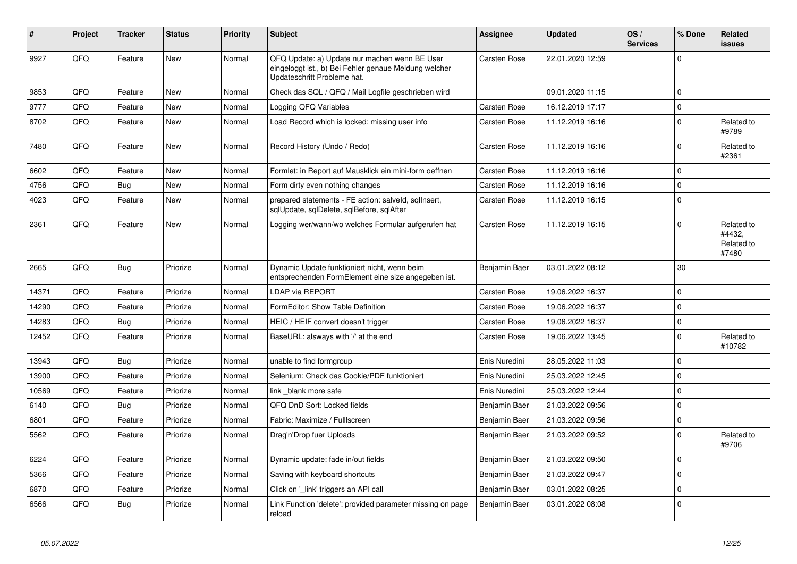| #     | Project | <b>Tracker</b> | <b>Status</b> | <b>Priority</b> | <b>Subject</b>                                                                                                                        | Assignee            | <b>Updated</b>   | OS/<br><b>Services</b> | % Done      | Related<br>issues                           |
|-------|---------|----------------|---------------|-----------------|---------------------------------------------------------------------------------------------------------------------------------------|---------------------|------------------|------------------------|-------------|---------------------------------------------|
| 9927  | QFQ     | Feature        | <b>New</b>    | Normal          | QFQ Update: a) Update nur machen wenn BE User<br>eingeloggt ist., b) Bei Fehler genaue Meldung welcher<br>Updateschritt Probleme hat. | <b>Carsten Rose</b> | 22.01.2020 12:59 |                        | $\Omega$    |                                             |
| 9853  | QFQ     | Feature        | New           | Normal          | Check das SQL / QFQ / Mail Logfile geschrieben wird                                                                                   |                     | 09.01.2020 11:15 |                        | $\Omega$    |                                             |
| 9777  | QFQ     | Feature        | New           | Normal          | Logging QFQ Variables                                                                                                                 | Carsten Rose        | 16.12.2019 17:17 |                        | $\Omega$    |                                             |
| 8702  | QFQ     | Feature        | <b>New</b>    | Normal          | Load Record which is locked: missing user info                                                                                        | <b>Carsten Rose</b> | 11.12.2019 16:16 |                        | $\Omega$    | Related to<br>#9789                         |
| 7480  | QFQ     | Feature        | New           | Normal          | Record History (Undo / Redo)                                                                                                          | Carsten Rose        | 11.12.2019 16:16 |                        | $\Omega$    | Related to<br>#2361                         |
| 6602  | QFQ     | Feature        | <b>New</b>    | Normal          | Formlet: in Report auf Mausklick ein mini-form oeffnen                                                                                | <b>Carsten Rose</b> | 11.12.2019 16:16 |                        | $\Omega$    |                                             |
| 4756  | QFQ     | <b>Bug</b>     | <b>New</b>    | Normal          | Form dirty even nothing changes                                                                                                       | Carsten Rose        | 11.12.2019 16:16 |                        | $\Omega$    |                                             |
| 4023  | QFQ     | Feature        | <b>New</b>    | Normal          | prepared statements - FE action: salveld, sqllnsert,<br>sqlUpdate, sqlDelete, sqlBefore, sqlAfter                                     | Carsten Rose        | 11.12.2019 16:15 |                        | $\Omega$    |                                             |
| 2361  | QFQ     | Feature        | New           | Normal          | Logging wer/wann/wo welches Formular aufgerufen hat                                                                                   | Carsten Rose        | 11.12.2019 16:15 |                        | $\Omega$    | Related to<br>#4432.<br>Related to<br>#7480 |
| 2665  | QFQ     | Bug            | Priorize      | Normal          | Dynamic Update funktioniert nicht, wenn beim<br>entsprechenden FormElement eine size angegeben ist.                                   | Benjamin Baer       | 03.01.2022 08:12 |                        | 30          |                                             |
| 14371 | QFQ     | Feature        | Priorize      | Normal          | LDAP via REPORT                                                                                                                       | Carsten Rose        | 19.06.2022 16:37 |                        | $\Omega$    |                                             |
| 14290 | QFQ     | Feature        | Priorize      | Normal          | FormEditor: Show Table Definition                                                                                                     | Carsten Rose        | 19.06.2022 16:37 |                        | $\Omega$    |                                             |
| 14283 | QFQ     | <b>Bug</b>     | Priorize      | Normal          | HEIC / HEIF convert doesn't trigger                                                                                                   | <b>Carsten Rose</b> | 19.06.2022 16:37 |                        | $\Omega$    |                                             |
| 12452 | QFQ     | Feature        | Priorize      | Normal          | BaseURL: alsways with '/' at the end                                                                                                  | <b>Carsten Rose</b> | 19.06.2022 13:45 |                        | $\Omega$    | Related to<br>#10782                        |
| 13943 | QFQ     | Bug            | Priorize      | Normal          | unable to find formgroup                                                                                                              | Enis Nuredini       | 28.05.2022 11:03 |                        | $\mathbf 0$ |                                             |
| 13900 | QFQ     | Feature        | Priorize      | Normal          | Selenium: Check das Cookie/PDF funktioniert                                                                                           | Enis Nuredini       | 25.03.2022 12:45 |                        | $\Omega$    |                                             |
| 10569 | QFQ     | Feature        | Priorize      | Normal          | link blank more safe                                                                                                                  | Enis Nuredini       | 25.03.2022 12:44 |                        | $\Omega$    |                                             |
| 6140  | QFQ     | <b>Bug</b>     | Priorize      | Normal          | QFQ DnD Sort: Locked fields                                                                                                           | Benjamin Baer       | 21.03.2022 09:56 |                        | $\Omega$    |                                             |
| 6801  | QFQ     | Feature        | Priorize      | Normal          | Fabric: Maximize / FullIscreen                                                                                                        | Benjamin Baer       | 21.03.2022 09:56 |                        | 0           |                                             |
| 5562  | QFQ     | Feature        | Priorize      | Normal          | Drag'n'Drop fuer Uploads                                                                                                              | Benjamin Baer       | 21.03.2022 09:52 |                        | $\Omega$    | Related to<br>#9706                         |
| 6224  | QFQ     | Feature        | Priorize      | Normal          | Dynamic update: fade in/out fields                                                                                                    | Benjamin Baer       | 21.03.2022 09:50 |                        | $\mathbf 0$ |                                             |
| 5366  | QFQ     | Feature        | Priorize      | Normal          | Saving with keyboard shortcuts                                                                                                        | Benjamin Baer       | 21.03.2022 09:47 |                        | $\Omega$    |                                             |
| 6870  | QFQ     | Feature        | Priorize      | Normal          | Click on '_link' triggers an API call                                                                                                 | Benjamin Baer       | 03.01.2022 08:25 |                        | $\mathbf 0$ |                                             |
| 6566  | QFQ     | Bug            | Priorize      | Normal          | Link Function 'delete': provided parameter missing on page<br>reload                                                                  | Benjamin Baer       | 03.01.2022 08:08 |                        | $\Omega$    |                                             |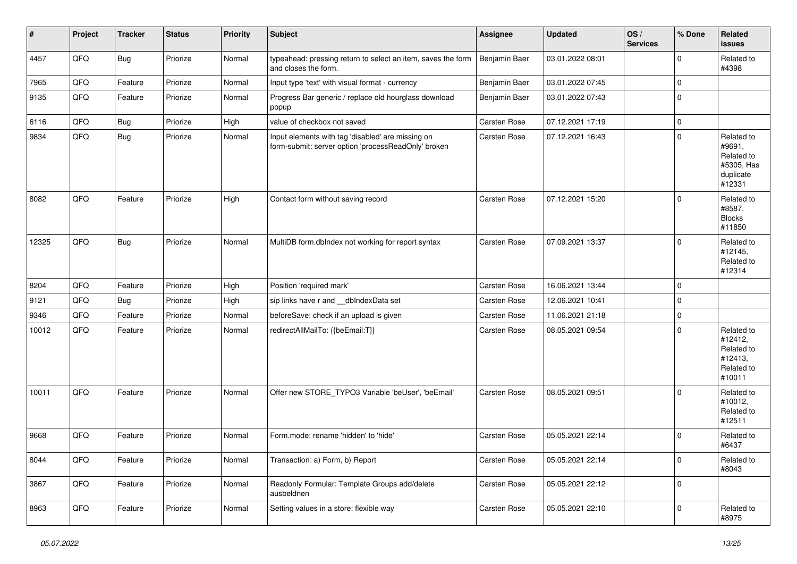| $\vert$ # | Project | <b>Tracker</b> | <b>Status</b> | <b>Priority</b> | <b>Subject</b>                                                                                           | Assignee            | <b>Updated</b>   | OS/<br><b>Services</b> | % Done         | Related<br><b>issues</b>                                                |
|-----------|---------|----------------|---------------|-----------------|----------------------------------------------------------------------------------------------------------|---------------------|------------------|------------------------|----------------|-------------------------------------------------------------------------|
| 4457      | QFQ     | <b>Bug</b>     | Priorize      | Normal          | typeahead: pressing return to select an item, saves the form<br>and closes the form.                     | Benjamin Baer       | 03.01.2022 08:01 |                        | $\mathbf 0$    | Related to<br>#4398                                                     |
| 7965      | QFQ     | Feature        | Priorize      | Normal          | Input type 'text' with visual format - currency                                                          | Benjamin Baer       | 03.01.2022 07:45 |                        | $\mathbf 0$    |                                                                         |
| 9135      | QFQ     | Feature        | Priorize      | Normal          | Progress Bar generic / replace old hourglass download<br>popup                                           | Benjamin Baer       | 03.01.2022 07:43 |                        | $\mathbf 0$    |                                                                         |
| 6116      | QFQ     | Bug            | Priorize      | High            | value of checkbox not saved                                                                              | Carsten Rose        | 07.12.2021 17:19 |                        | $\mathbf 0$    |                                                                         |
| 9834      | QFQ     | <b>Bug</b>     | Priorize      | Normal          | Input elements with tag 'disabled' are missing on<br>form-submit: server option 'processReadOnly' broken | Carsten Rose        | 07.12.2021 16:43 |                        | $\mathbf 0$    | Related to<br>#9691,<br>Related to<br>#5305, Has<br>duplicate<br>#12331 |
| 8082      | QFQ     | Feature        | Priorize      | High            | Contact form without saving record                                                                       | <b>Carsten Rose</b> | 07.12.2021 15:20 |                        | $\mathbf 0$    | Related to<br>#8587,<br><b>Blocks</b><br>#11850                         |
| 12325     | QFQ     | Bug            | Priorize      | Normal          | MultiDB form.dbIndex not working for report syntax                                                       | <b>Carsten Rose</b> | 07.09.2021 13:37 |                        | $\mathbf 0$    | Related to<br>#12145,<br>Related to<br>#12314                           |
| 8204      | QFQ     | Feature        | Priorize      | High            | Position 'required mark'                                                                                 | Carsten Rose        | 16.06.2021 13:44 |                        | $\overline{0}$ |                                                                         |
| 9121      | QFQ     | Bug            | Priorize      | High            | sip links have r and dblndexData set                                                                     | <b>Carsten Rose</b> | 12.06.2021 10:41 |                        | 0              |                                                                         |
| 9346      | QFQ     | Feature        | Priorize      | Normal          | beforeSave: check if an upload is given                                                                  | Carsten Rose        | 11.06.2021 21:18 |                        | $\mathbf 0$    |                                                                         |
| 10012     | QFQ     | Feature        | Priorize      | Normal          | redirectAllMailTo: {{beEmail:T}}                                                                         | <b>Carsten Rose</b> | 08.05.2021 09:54 |                        | $\mathbf 0$    | Related to<br>#12412,<br>Related to<br>#12413,<br>Related to<br>#10011  |
| 10011     | QFQ     | Feature        | Priorize      | Normal          | Offer new STORE_TYPO3 Variable 'beUser', 'beEmail'                                                       | <b>Carsten Rose</b> | 08.05.2021 09:51 |                        | $\mathbf 0$    | Related to<br>#10012,<br>Related to<br>#12511                           |
| 9668      | QFQ     | Feature        | Priorize      | Normal          | Form.mode: rename 'hidden' to 'hide'                                                                     | <b>Carsten Rose</b> | 05.05.2021 22:14 |                        | $\mathbf 0$    | Related to<br>#6437                                                     |
| 8044      | QFQ     | Feature        | Priorize      | Normal          | Transaction: a) Form, b) Report                                                                          | Carsten Rose        | 05.05.2021 22:14 |                        | $\mathbf 0$    | Related to<br>#8043                                                     |
| 3867      | QFQ     | Feature        | Priorize      | Normal          | Readonly Formular: Template Groups add/delete<br>ausbeldnen                                              | Carsten Rose        | 05.05.2021 22:12 |                        | $\overline{0}$ |                                                                         |
| 8963      | QFQ     | Feature        | Priorize      | Normal          | Setting values in a store: flexible way                                                                  | Carsten Rose        | 05.05.2021 22:10 |                        | $\mathbf 0$    | Related to<br>#8975                                                     |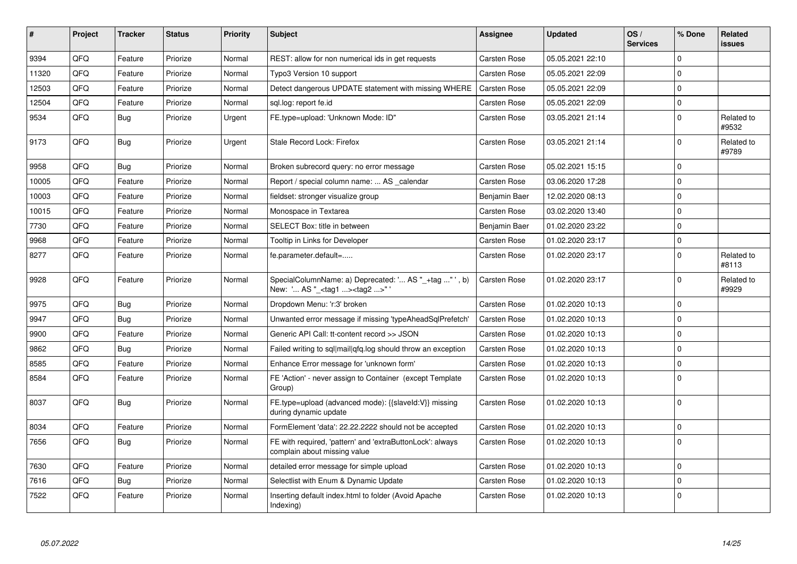| #     | Project | <b>Tracker</b> | <b>Status</b> | <b>Priority</b> | <b>Subject</b>                                                                                    | Assignee            | <b>Updated</b>   | OS/<br><b>Services</b> | % Done      | Related<br><b>issues</b> |
|-------|---------|----------------|---------------|-----------------|---------------------------------------------------------------------------------------------------|---------------------|------------------|------------------------|-------------|--------------------------|
| 9394  | QFQ     | Feature        | Priorize      | Normal          | REST: allow for non numerical ids in get requests                                                 | Carsten Rose        | 05.05.2021 22:10 |                        | $\mathbf 0$ |                          |
| 11320 | QFQ     | Feature        | Priorize      | Normal          | Typo3 Version 10 support                                                                          | Carsten Rose        | 05.05.2021 22:09 |                        | $\mathbf 0$ |                          |
| 12503 | QFQ     | Feature        | Priorize      | Normal          | Detect dangerous UPDATE statement with missing WHERE                                              | Carsten Rose        | 05.05.2021 22:09 |                        | $\mathbf 0$ |                          |
| 12504 | QFQ     | Feature        | Priorize      | Normal          | sql.log: report fe.id                                                                             | Carsten Rose        | 05.05.2021 22:09 |                        | $\mathbf 0$ |                          |
| 9534  | QFQ     | <b>Bug</b>     | Priorize      | Urgent          | FE.type=upload: 'Unknown Mode: ID"                                                                | Carsten Rose        | 03.05.2021 21:14 |                        | $\Omega$    | Related to<br>#9532      |
| 9173  | QFQ     | <b>Bug</b>     | Priorize      | Urgent          | Stale Record Lock: Firefox                                                                        | Carsten Rose        | 03.05.2021 21:14 |                        | $\Omega$    | Related to<br>#9789      |
| 9958  | QFQ     | <b>Bug</b>     | Priorize      | Normal          | Broken subrecord query: no error message                                                          | Carsten Rose        | 05.02.2021 15:15 |                        | $\Omega$    |                          |
| 10005 | QFQ     | Feature        | Priorize      | Normal          | Report / special column name:  AS calendar                                                        | <b>Carsten Rose</b> | 03.06.2020 17:28 |                        | $\mathbf 0$ |                          |
| 10003 | QFQ     | Feature        | Priorize      | Normal          | fieldset: stronger visualize group                                                                | Benjamin Baer       | 12.02.2020 08:13 |                        | $\mathbf 0$ |                          |
| 10015 | QFQ     | Feature        | Priorize      | Normal          | Monospace in Textarea                                                                             | Carsten Rose        | 03.02.2020 13:40 |                        | $\mathbf 0$ |                          |
| 7730  | QFQ     | Feature        | Priorize      | Normal          | SELECT Box: title in between                                                                      | Benjamin Baer       | 01.02.2020 23:22 |                        | $\mathbf 0$ |                          |
| 9968  | QFQ     | Feature        | Priorize      | Normal          | Tooltip in Links for Developer                                                                    | Carsten Rose        | 01.02.2020 23:17 |                        | $\Omega$    |                          |
| 8277  | QFQ     | Feature        | Priorize      | Normal          | fe.parameter.default=                                                                             | Carsten Rose        | 01.02.2020 23:17 |                        | $\mathbf 0$ | Related to<br>#8113      |
| 9928  | QFQ     | Feature        | Priorize      | Normal          | SpecialColumnName: a) Deprecated: ' AS "_+tag " ', b)<br>New: ' AS "_ <tag1><tag2>"</tag2></tag1> | Carsten Rose        | 01.02.2020 23:17 |                        | $\mathbf 0$ | Related to<br>#9929      |
| 9975  | QFQ     | Bug            | Priorize      | Normal          | Dropdown Menu: 'r:3' broken                                                                       | Carsten Rose        | 01.02.2020 10:13 |                        | $\Omega$    |                          |
| 9947  | QFQ     | Bug            | Priorize      | Normal          | Unwanted error message if missing 'typeAheadSqlPrefetch'                                          | <b>Carsten Rose</b> | 01.02.2020 10:13 |                        | $\mathbf 0$ |                          |
| 9900  | QFQ     | Feature        | Priorize      | Normal          | Generic API Call: tt-content record >> JSON                                                       | Carsten Rose        | 01.02.2020 10:13 |                        | $\Omega$    |                          |
| 9862  | QFQ     | Bug            | Priorize      | Normal          | Failed writing to sql mail qfq.log should throw an exception                                      | <b>Carsten Rose</b> | 01.02.2020 10:13 |                        | $\mathbf 0$ |                          |
| 8585  | QFQ     | Feature        | Priorize      | Normal          | Enhance Error message for 'unknown form'                                                          | Carsten Rose        | 01.02.2020 10:13 |                        | $\mathbf 0$ |                          |
| 8584  | QFQ     | Feature        | Priorize      | Normal          | FE 'Action' - never assign to Container (except Template<br>Group)                                | Carsten Rose        | 01.02.2020 10:13 |                        | $\mathbf 0$ |                          |
| 8037  | QFQ     | Bug            | Priorize      | Normal          | FE.type=upload (advanced mode): {{slaveld:V}} missing<br>during dynamic update                    | Carsten Rose        | 01.02.2020 10:13 |                        | $\mathbf 0$ |                          |
| 8034  | QFQ     | Feature        | Priorize      | Normal          | FormElement 'data': 22.22.2222 should not be accepted                                             | Carsten Rose        | 01.02.2020 10:13 |                        | $\mathbf 0$ |                          |
| 7656  | QFQ     | Bug            | Priorize      | Normal          | FE with required, 'pattern' and 'extraButtonLock': always<br>complain about missing value         | Carsten Rose        | 01.02.2020 10:13 |                        | $\mathbf 0$ |                          |
| 7630  | QFQ     | Feature        | Priorize      | Normal          | detailed error message for simple upload                                                          | Carsten Rose        | 01.02.2020 10:13 |                        | $\mathbf 0$ |                          |
| 7616  | QFQ     | Bug            | Priorize      | Normal          | Selectlist with Enum & Dynamic Update                                                             | Carsten Rose        | 01.02.2020 10:13 |                        | $\mathbf 0$ |                          |
| 7522  | QFQ     | Feature        | Priorize      | Normal          | Inserting default index.html to folder (Avoid Apache<br>Indexing)                                 | Carsten Rose        | 01.02.2020 10:13 |                        | $\pmb{0}$   |                          |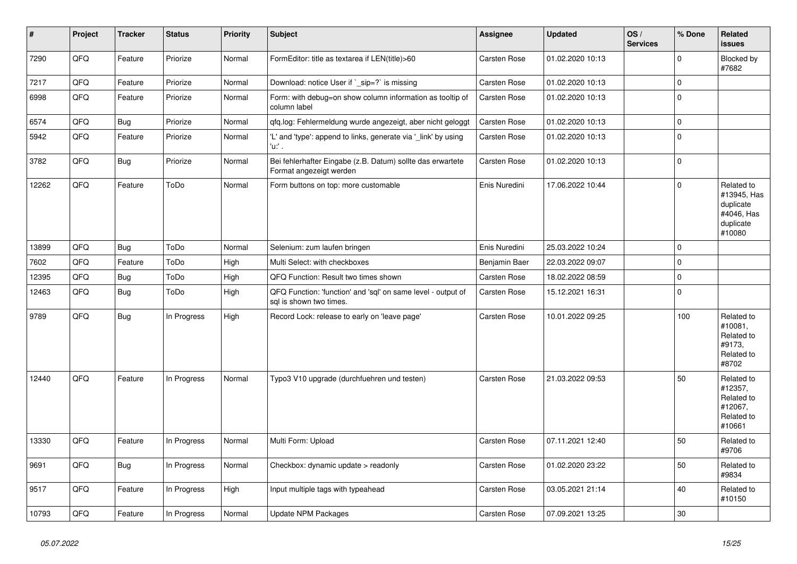| $\vert$ # | Project | <b>Tracker</b> | <b>Status</b> | <b>Priority</b> | <b>Subject</b>                                                                          | Assignee            | <b>Updated</b>   | OS/<br><b>Services</b> | % Done      | Related<br>issues                                                           |
|-----------|---------|----------------|---------------|-----------------|-----------------------------------------------------------------------------------------|---------------------|------------------|------------------------|-------------|-----------------------------------------------------------------------------|
| 7290      | QFQ     | Feature        | Priorize      | Normal          | FormEditor: title as textarea if LEN(title)>60                                          | <b>Carsten Rose</b> | 01.02.2020 10:13 |                        | $\mathbf 0$ | Blocked by<br>#7682                                                         |
| 7217      | QFQ     | Feature        | Priorize      | Normal          | Download: notice User if `_sip=?` is missing                                            | Carsten Rose        | 01.02.2020 10:13 |                        | $\mathbf 0$ |                                                                             |
| 6998      | QFQ     | Feature        | Priorize      | Normal          | Form: with debug=on show column information as tooltip of<br>column label               | Carsten Rose        | 01.02.2020 10:13 |                        | $\mathbf 0$ |                                                                             |
| 6574      | QFQ     | Bug            | Priorize      | Normal          | qfq.log: Fehlermeldung wurde angezeigt, aber nicht geloggt                              | Carsten Rose        | 01.02.2020 10:13 |                        | $\Omega$    |                                                                             |
| 5942      | QFQ     | Feature        | Priorize      | Normal          | 'L' and 'type': append to links, generate via '_link' by using<br>'u:' .                | Carsten Rose        | 01.02.2020 10:13 |                        | $\Omega$    |                                                                             |
| 3782      | QFQ     | Bug            | Priorize      | Normal          | Bei fehlerhafter Eingabe (z.B. Datum) sollte das erwartete<br>Format angezeigt werden   | <b>Carsten Rose</b> | 01.02.2020 10:13 |                        | $\mathbf 0$ |                                                                             |
| 12262     | QFQ     | Feature        | ToDo          | Normal          | Form buttons on top: more customable                                                    | Enis Nuredini       | 17.06.2022 10:44 |                        | $\Omega$    | Related to<br>#13945, Has<br>duplicate<br>#4046, Has<br>duplicate<br>#10080 |
| 13899     | QFQ     | Bug            | ToDo          | Normal          | Selenium: zum laufen bringen                                                            | Enis Nuredini       | 25.03.2022 10:24 |                        | $\mathbf 0$ |                                                                             |
| 7602      | QFQ     | Feature        | ToDo          | High            | Multi Select: with checkboxes                                                           | Benjamin Baer       | 22.03.2022 09:07 |                        | $\mathbf 0$ |                                                                             |
| 12395     | QFQ     | Bug            | ToDo          | High            | QFQ Function: Result two times shown                                                    | <b>Carsten Rose</b> | 18.02.2022 08:59 |                        | $\Omega$    |                                                                             |
| 12463     | QFQ     | Bug            | ToDo          | High            | QFQ Function: 'function' and 'sql' on same level - output of<br>sql is shown two times. | Carsten Rose        | 15.12.2021 16:31 |                        | $\mathbf 0$ |                                                                             |
| 9789      | QFQ     | Bug            | In Progress   | High            | Record Lock: release to early on 'leave page'                                           | Carsten Rose        | 10.01.2022 09:25 |                        | 100         | Related to<br>#10081,<br>Related to<br>#9173,<br>Related to<br>#8702        |
| 12440     | QFQ     | Feature        | In Progress   | Normal          | Typo3 V10 upgrade (durchfuehren und testen)                                             | Carsten Rose        | 21.03.2022 09:53 |                        | 50          | Related to<br>#12357,<br>Related to<br>#12067.<br>Related to<br>#10661      |
| 13330     | QFQ     | Feature        | In Progress   | Normal          | Multi Form: Upload                                                                      | Carsten Rose        | 07.11.2021 12:40 |                        | 50          | Related to<br>#9706                                                         |
| 9691      | QFQ     | Bug            | In Progress   | Normal          | Checkbox: dynamic update > readonly                                                     | Carsten Rose        | 01.02.2020 23:22 |                        | 50          | Related to<br>#9834                                                         |
| 9517      | QFQ     | Feature        | In Progress   | High            | Input multiple tags with typeahead                                                      | Carsten Rose        | 03.05.2021 21:14 |                        | 40          | Related to<br>#10150                                                        |
| 10793     | QFQ     | Feature        | In Progress   | Normal          | Update NPM Packages                                                                     | <b>Carsten Rose</b> | 07.09.2021 13:25 |                        | 30          |                                                                             |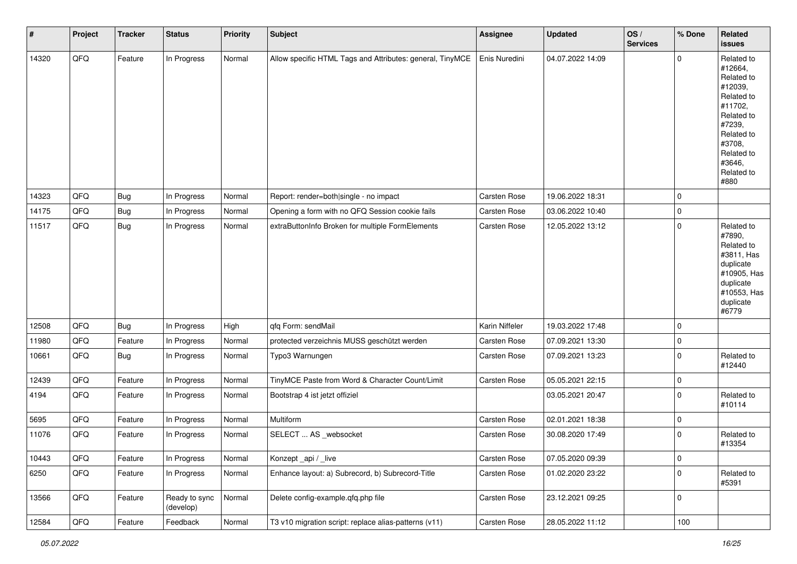| #     | Project | <b>Tracker</b> | <b>Status</b>              | <b>Priority</b> | Subject                                                   | <b>Assignee</b>     | <b>Updated</b>   | OS/<br><b>Services</b> | % Done      | <b>Related</b><br>issues                                                                                                                                              |
|-------|---------|----------------|----------------------------|-----------------|-----------------------------------------------------------|---------------------|------------------|------------------------|-------------|-----------------------------------------------------------------------------------------------------------------------------------------------------------------------|
| 14320 | QFO     | Feature        | In Progress                | Normal          | Allow specific HTML Tags and Attributes: general, TinyMCE | Enis Nuredini       | 04.07.2022 14:09 |                        | 0           | Related to<br>#12664,<br>Related to<br>#12039,<br>Related to<br>#11702,<br>Related to<br>#7239,<br>Related to<br>#3708,<br>Related to<br>#3646,<br>Related to<br>#880 |
| 14323 | QFO     | Bug            | In Progress                | Normal          | Report: render=both single - no impact                    | Carsten Rose        | 19.06.2022 18:31 |                        | 0           |                                                                                                                                                                       |
| 14175 | QFQ     | <b>Bug</b>     | In Progress                | Normal          | Opening a form with no QFQ Session cookie fails           | <b>Carsten Rose</b> | 03.06.2022 10:40 |                        | 0           |                                                                                                                                                                       |
| 11517 | QFQ     | <b>Bug</b>     | In Progress                | Normal          | extraButtonInfo Broken for multiple FormElements          | Carsten Rose        | 12.05.2022 13:12 |                        | $\mathbf 0$ | Related to<br>#7890,<br>Related to<br>#3811, Has<br>duplicate<br>#10905, Has<br>duplicate<br>#10553, Has<br>duplicate<br>#6779                                        |
| 12508 | QFQ     | <b>Bug</b>     | In Progress                | High            | qfq Form: sendMail                                        | Karin Niffeler      | 19.03.2022 17:48 |                        | 0           |                                                                                                                                                                       |
| 11980 | QFQ     | Feature        | In Progress                | Normal          | protected verzeichnis MUSS geschützt werden               | Carsten Rose        | 07.09.2021 13:30 |                        | 0           |                                                                                                                                                                       |
| 10661 | QFQ     | <b>Bug</b>     | In Progress                | Normal          | Typo3 Warnungen                                           | Carsten Rose        | 07.09.2021 13:23 |                        | $\mathbf 0$ | Related to<br>#12440                                                                                                                                                  |
| 12439 | QFQ     | Feature        | In Progress                | Normal          | TinyMCE Paste from Word & Character Count/Limit           | Carsten Rose        | 05.05.2021 22:15 |                        | 0           |                                                                                                                                                                       |
| 4194  | QFQ     | Feature        | In Progress                | Normal          | Bootstrap 4 ist jetzt offiziel                            |                     | 03.05.2021 20:47 |                        | $\mathbf 0$ | Related to<br>#10114                                                                                                                                                  |
| 5695  | QFQ     | Feature        | In Progress                | Normal          | Multiform                                                 | Carsten Rose        | 02.01.2021 18:38 |                        | 0           |                                                                                                                                                                       |
| 11076 | QFQ     | Feature        | In Progress                | Normal          | SELECT  AS _websocket                                     | Carsten Rose        | 30.08.2020 17:49 |                        | 0           | Related to<br>#13354                                                                                                                                                  |
| 10443 | QFG     | Feature        | In Progress                | Normal          | Konzept_api / _live                                       | Carsten Rose        | 07.05.2020 09:39 |                        | $\pmb{0}$   |                                                                                                                                                                       |
| 6250  | QFQ     | Feature        | In Progress                | Normal          | Enhance layout: a) Subrecord, b) Subrecord-Title          | Carsten Rose        | 01.02.2020 23:22 |                        | 0           | Related to<br>#5391                                                                                                                                                   |
| 13566 | QFQ     | Feature        | Ready to sync<br>(develop) | Normal          | Delete config-example.qfq.php file                        | Carsten Rose        | 23.12.2021 09:25 |                        | 0           |                                                                                                                                                                       |
| 12584 | QFG     | Feature        | Feedback                   | Normal          | T3 v10 migration script: replace alias-patterns (v11)     | Carsten Rose        | 28.05.2022 11:12 |                        | 100         |                                                                                                                                                                       |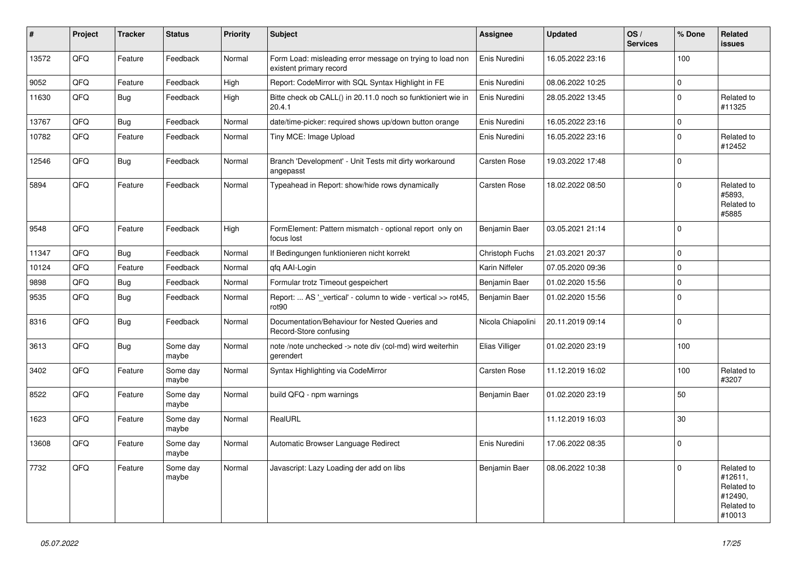| #     | Project | <b>Tracker</b> | <b>Status</b>     | <b>Priority</b> | <b>Subject</b>                                                                       | Assignee          | <b>Updated</b>   | OS/<br><b>Services</b> | % Done       | Related<br><b>issues</b>                                               |
|-------|---------|----------------|-------------------|-----------------|--------------------------------------------------------------------------------------|-------------------|------------------|------------------------|--------------|------------------------------------------------------------------------|
| 13572 | QFQ     | Feature        | Feedback          | Normal          | Form Load: misleading error message on trying to load non<br>existent primary record | Enis Nuredini     | 16.05.2022 23:16 |                        | 100          |                                                                        |
| 9052  | QFQ     | Feature        | Feedback          | High            | Report: CodeMirror with SQL Syntax Highlight in FE                                   | Enis Nuredini     | 08.06.2022 10:25 |                        | $\mathsf 0$  |                                                                        |
| 11630 | QFQ     | Bug            | Feedback          | High            | Bitte check ob CALL() in 20.11.0 noch so funktioniert wie in<br>20.4.1               | Enis Nuredini     | 28.05.2022 13:45 |                        | $\mathbf{0}$ | Related to<br>#11325                                                   |
| 13767 | QFQ     | <b>Bug</b>     | Feedback          | Normal          | date/time-picker: required shows up/down button orange                               | Enis Nuredini     | 16.05.2022 23:16 |                        | $\mathbf 0$  |                                                                        |
| 10782 | QFQ     | Feature        | Feedback          | Normal          | Tiny MCE: Image Upload                                                               | Enis Nuredini     | 16.05.2022 23:16 |                        | $\mathbf 0$  | Related to<br>#12452                                                   |
| 12546 | QFQ     | Bug            | Feedback          | Normal          | Branch 'Development' - Unit Tests mit dirty workaround<br>angepasst                  | Carsten Rose      | 19.03.2022 17:48 |                        | $\mathbf 0$  |                                                                        |
| 5894  | QFQ     | Feature        | Feedback          | Normal          | Typeahead in Report: show/hide rows dynamically                                      | Carsten Rose      | 18.02.2022 08:50 |                        | $\mathbf{0}$ | Related to<br>#5893.<br>Related to<br>#5885                            |
| 9548  | QFQ     | Feature        | Feedback          | High            | FormElement: Pattern mismatch - optional report only on<br>focus lost                | Benjamin Baer     | 03.05.2021 21:14 |                        | $\mathbf{0}$ |                                                                        |
| 11347 | QFQ     | <b>Bug</b>     | Feedback          | Normal          | If Bedingungen funktionieren nicht korrekt                                           | Christoph Fuchs   | 21.03.2021 20:37 |                        | $\Omega$     |                                                                        |
| 10124 | QFQ     | Feature        | Feedback          | Normal          | qfq AAI-Login                                                                        | Karin Niffeler    | 07.05.2020 09:36 |                        | $\Omega$     |                                                                        |
| 9898  | QFQ     | <b>Bug</b>     | Feedback          | Normal          | Formular trotz Timeout gespeichert                                                   | Benjamin Baer     | 01.02.2020 15:56 |                        | $\Omega$     |                                                                        |
| 9535  | QFQ     | <b>Bug</b>     | Feedback          | Normal          | Report:  AS '_vertical' - column to wide - vertical >> rot45,<br>rot90               | Benjamin Baer     | 01.02.2020 15:56 |                        | $\Omega$     |                                                                        |
| 8316  | QFQ     | Bug            | Feedback          | Normal          | Documentation/Behaviour for Nested Queries and<br>Record-Store confusing             | Nicola Chiapolini | 20.11.2019 09:14 |                        | $\mathbf{0}$ |                                                                        |
| 3613  | QFQ     | Bug            | Some day<br>maybe | Normal          | note /note unchecked -> note div (col-md) wird weiterhin<br>gerendert                | Elias Villiger    | 01.02.2020 23:19 |                        | 100          |                                                                        |
| 3402  | QFQ     | Feature        | Some day<br>maybe | Normal          | Syntax Highlighting via CodeMirror                                                   | Carsten Rose      | 11.12.2019 16:02 |                        | 100          | Related to<br>#3207                                                    |
| 8522  | QFQ     | Feature        | Some day<br>maybe | Normal          | build QFQ - npm warnings                                                             | Benjamin Baer     | 01.02.2020 23:19 |                        | 50           |                                                                        |
| 1623  | QFQ     | Feature        | Some day<br>maybe | Normal          | RealURL                                                                              |                   | 11.12.2019 16:03 |                        | 30           |                                                                        |
| 13608 | QFQ     | Feature        | Some day<br>maybe | Normal          | Automatic Browser Language Redirect                                                  | Enis Nuredini     | 17.06.2022 08:35 |                        | $\Omega$     |                                                                        |
| 7732  | QFQ     | Feature        | Some day<br>maybe | Normal          | Javascript: Lazy Loading der add on libs                                             | Benjamin Baer     | 08.06.2022 10:38 |                        | $\Omega$     | Related to<br>#12611,<br>Related to<br>#12490,<br>Related to<br>#10013 |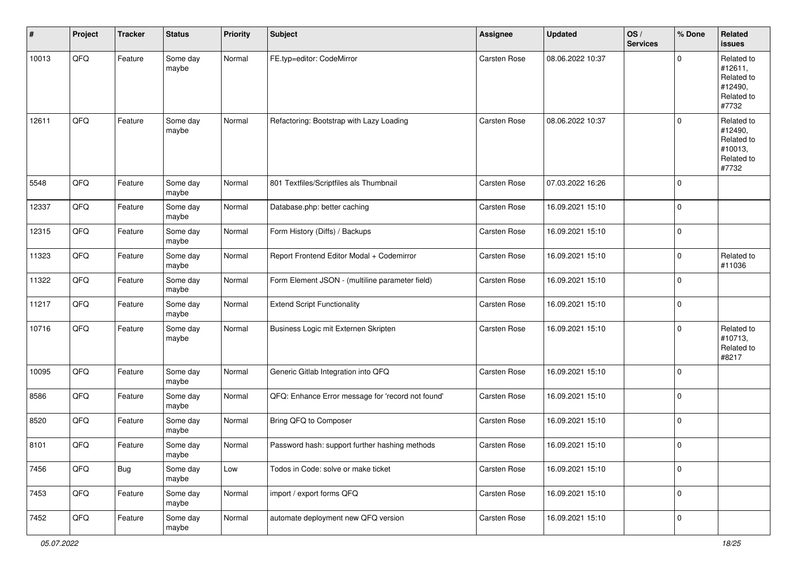| #     | Project | <b>Tracker</b> | <b>Status</b>     | <b>Priority</b> | <b>Subject</b>                                    | Assignee            | <b>Updated</b>   | OS/<br><b>Services</b> | % Done      | <b>Related</b><br><b>issues</b>                                       |
|-------|---------|----------------|-------------------|-----------------|---------------------------------------------------|---------------------|------------------|------------------------|-------------|-----------------------------------------------------------------------|
| 10013 | QFQ     | Feature        | Some day<br>maybe | Normal          | FE.typ=editor: CodeMirror                         | Carsten Rose        | 08.06.2022 10:37 |                        | $\mathbf 0$ | Related to<br>#12611,<br>Related to<br>#12490,<br>Related to<br>#7732 |
| 12611 | QFQ     | Feature        | Some day<br>maybe | Normal          | Refactoring: Bootstrap with Lazy Loading          | Carsten Rose        | 08.06.2022 10:37 |                        | $\mathbf 0$ | Related to<br>#12490,<br>Related to<br>#10013,<br>Related to<br>#7732 |
| 5548  | QFQ     | Feature        | Some day<br>maybe | Normal          | 801 Textfiles/Scriptfiles als Thumbnail           | Carsten Rose        | 07.03.2022 16:26 |                        | $\mathbf 0$ |                                                                       |
| 12337 | QFQ     | Feature        | Some day<br>maybe | Normal          | Database.php: better caching                      | Carsten Rose        | 16.09.2021 15:10 |                        | $\mathbf 0$ |                                                                       |
| 12315 | QFQ     | Feature        | Some day<br>maybe | Normal          | Form History (Diffs) / Backups                    | Carsten Rose        | 16.09.2021 15:10 |                        | $\mathbf 0$ |                                                                       |
| 11323 | QFQ     | Feature        | Some day<br>maybe | Normal          | Report Frontend Editor Modal + Codemirror         | Carsten Rose        | 16.09.2021 15:10 |                        | 0           | Related to<br>#11036                                                  |
| 11322 | QFQ     | Feature        | Some day<br>maybe | Normal          | Form Element JSON - (multiline parameter field)   | Carsten Rose        | 16.09.2021 15:10 |                        | $\mathbf 0$ |                                                                       |
| 11217 | QFQ     | Feature        | Some day<br>maybe | Normal          | <b>Extend Script Functionality</b>                | Carsten Rose        | 16.09.2021 15:10 |                        | $\mathbf 0$ |                                                                       |
| 10716 | QFQ     | Feature        | Some day<br>maybe | Normal          | Business Logic mit Externen Skripten              | Carsten Rose        | 16.09.2021 15:10 |                        | 0           | Related to<br>#10713,<br>Related to<br>#8217                          |
| 10095 | QFQ     | Feature        | Some day<br>maybe | Normal          | Generic Gitlab Integration into QFQ               | Carsten Rose        | 16.09.2021 15:10 |                        | $\Omega$    |                                                                       |
| 8586  | QFQ     | Feature        | Some day<br>maybe | Normal          | QFQ: Enhance Error message for 'record not found' | Carsten Rose        | 16.09.2021 15:10 |                        | $\mathbf 0$ |                                                                       |
| 8520  | QFQ     | Feature        | Some day<br>maybe | Normal          | Bring QFQ to Composer                             | Carsten Rose        | 16.09.2021 15:10 |                        | 0           |                                                                       |
| 8101  | QFQ     | Feature        | Some day<br>maybe | Normal          | Password hash: support further hashing methods    | <b>Carsten Rose</b> | 16.09.2021 15:10 |                        | 0           |                                                                       |
| 7456  | QFG     | <b>Bug</b>     | Some day<br>maybe | Low             | Todos in Code: solve or make ticket               | Carsten Rose        | 16.09.2021 15:10 |                        | 0           |                                                                       |
| 7453  | QFG     | Feature        | Some day<br>maybe | Normal          | import / export forms QFQ                         | Carsten Rose        | 16.09.2021 15:10 |                        | 0           |                                                                       |
| 7452  | QFO     | Feature        | Some day<br>maybe | Normal          | automate deployment new QFQ version               | Carsten Rose        | 16.09.2021 15:10 |                        | 0           |                                                                       |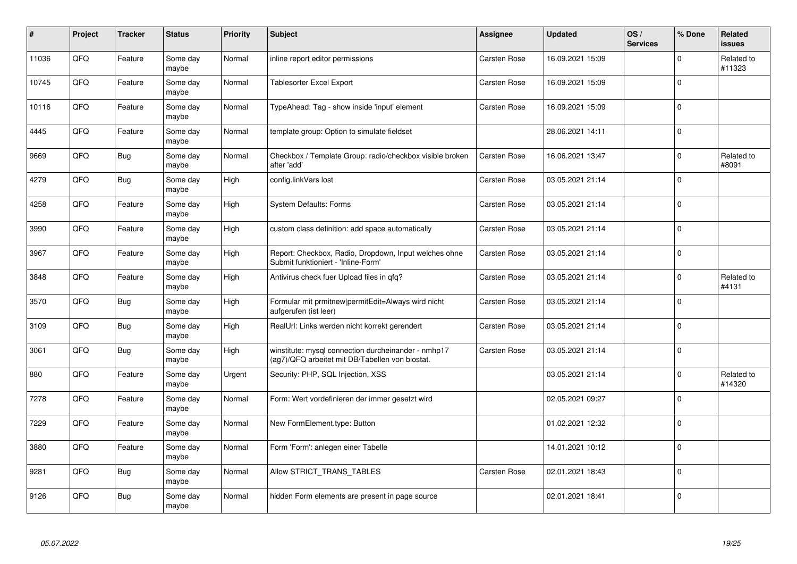| #     | Project | <b>Tracker</b> | <b>Status</b>     | <b>Priority</b> | <b>Subject</b>                                                                                         | Assignee            | <b>Updated</b>   | OS/<br><b>Services</b> | % Done      | <b>Related</b><br>issues |
|-------|---------|----------------|-------------------|-----------------|--------------------------------------------------------------------------------------------------------|---------------------|------------------|------------------------|-------------|--------------------------|
| 11036 | QFQ     | Feature        | Some day<br>maybe | Normal          | inline report editor permissions                                                                       | <b>Carsten Rose</b> | 16.09.2021 15:09 |                        | $\Omega$    | Related to<br>#11323     |
| 10745 | QFQ     | Feature        | Some dav<br>maybe | Normal          | Tablesorter Excel Export                                                                               | Carsten Rose        | 16.09.2021 15:09 |                        | $\Omega$    |                          |
| 10116 | QFQ     | Feature        | Some day<br>maybe | Normal          | TypeAhead: Tag - show inside 'input' element                                                           | Carsten Rose        | 16.09.2021 15:09 |                        | $\mathbf 0$ |                          |
| 4445  | QFQ     | Feature        | Some day<br>maybe | Normal          | template group: Option to simulate fieldset                                                            |                     | 28.06.2021 14:11 |                        | $\Omega$    |                          |
| 9669  | QFQ     | Bug            | Some day<br>maybe | Normal          | Checkbox / Template Group: radio/checkbox visible broken<br>after 'add'                                | Carsten Rose        | 16.06.2021 13:47 |                        | $\Omega$    | Related to<br>#8091      |
| 4279  | QFQ     | Bug            | Some dav<br>maybe | High            | config.linkVars lost                                                                                   | Carsten Rose        | 03.05.2021 21:14 |                        | $\mathbf 0$ |                          |
| 4258  | QFQ     | Feature        | Some day<br>maybe | High            | System Defaults: Forms                                                                                 | Carsten Rose        | 03.05.2021 21:14 |                        | $\pmb{0}$   |                          |
| 3990  | QFQ     | Feature        | Some day<br>maybe | High            | custom class definition: add space automatically                                                       | Carsten Rose        | 03.05.2021 21:14 |                        | $\mathbf 0$ |                          |
| 3967  | QFQ     | Feature        | Some day<br>maybe | High            | Report: Checkbox, Radio, Dropdown, Input welches ohne<br>Submit funktioniert - 'Inline-Form'           | Carsten Rose        | 03.05.2021 21:14 |                        | $\Omega$    |                          |
| 3848  | QFQ     | Feature        | Some day<br>maybe | High            | Antivirus check fuer Upload files in qfq?                                                              | Carsten Rose        | 03.05.2021 21:14 |                        | $\pmb{0}$   | Related to<br>#4131      |
| 3570  | QFQ     | <b>Bug</b>     | Some day<br>maybe | High            | Formular mit prmitnew permitEdit=Always wird nicht<br>aufgerufen (ist leer)                            | Carsten Rose        | 03.05.2021 21:14 |                        | $\Omega$    |                          |
| 3109  | QFQ     | Bug            | Some day<br>maybe | High            | RealUrl: Links werden nicht korrekt gerendert                                                          | Carsten Rose        | 03.05.2021 21:14 |                        | $\mathbf 0$ |                          |
| 3061  | QFQ     | <b>Bug</b>     | Some day<br>maybe | High            | winstitute: mysql connection durcheinander - nmhp17<br>(ag7)/QFQ arbeitet mit DB/Tabellen von biostat. | Carsten Rose        | 03.05.2021 21:14 |                        | $\mathbf 0$ |                          |
| 880   | QFQ     | Feature        | Some day<br>maybe | Urgent          | Security: PHP, SQL Injection, XSS                                                                      |                     | 03.05.2021 21:14 |                        | $\pmb{0}$   | Related to<br>#14320     |
| 7278  | QFQ     | Feature        | Some dav<br>maybe | Normal          | Form: Wert vordefinieren der immer gesetzt wird                                                        |                     | 02.05.2021 09:27 |                        | $\Omega$    |                          |
| 7229  | QFQ     | Feature        | Some day<br>maybe | Normal          | New FormElement.type: Button                                                                           |                     | 01.02.2021 12:32 |                        | $\Omega$    |                          |
| 3880  | QFQ     | Feature        | Some day<br>maybe | Normal          | Form 'Form': anlegen einer Tabelle                                                                     |                     | 14.01.2021 10:12 |                        | $\Omega$    |                          |
| 9281  | QFQ     | <b>Bug</b>     | Some day<br>maybe | Normal          | Allow STRICT_TRANS_TABLES                                                                              | Carsten Rose        | 02.01.2021 18:43 |                        | $\Omega$    |                          |
| 9126  | QFQ     | Bug            | Some day<br>maybe | Normal          | hidden Form elements are present in page source                                                        |                     | 02.01.2021 18:41 |                        | $\Omega$    |                          |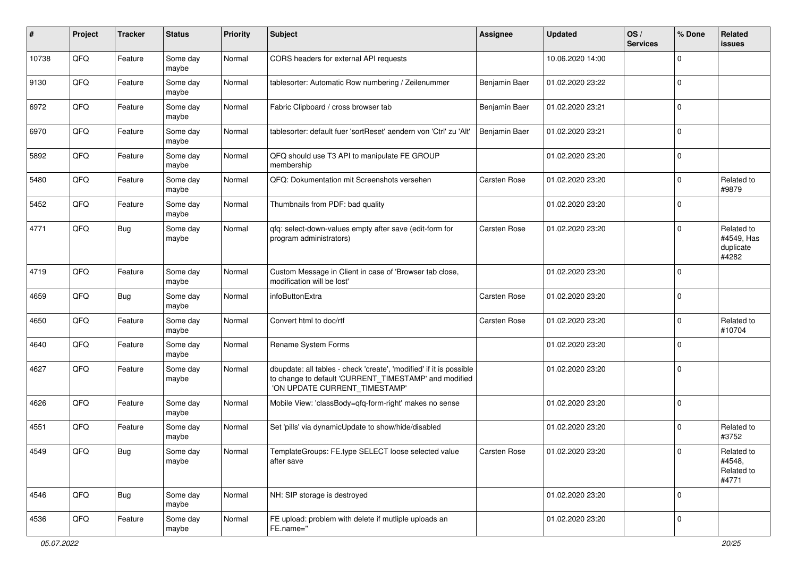| #     | Project | <b>Tracker</b> | <b>Status</b>     | <b>Priority</b> | <b>Subject</b>                                                                                                                                                | <b>Assignee</b>     | <b>Updated</b>   | OS/<br><b>Services</b> | % Done         | Related<br><b>issues</b>                       |
|-------|---------|----------------|-------------------|-----------------|---------------------------------------------------------------------------------------------------------------------------------------------------------------|---------------------|------------------|------------------------|----------------|------------------------------------------------|
| 10738 | QFQ     | Feature        | Some day<br>maybe | Normal          | CORS headers for external API requests                                                                                                                        |                     | 10.06.2020 14:00 |                        | $\Omega$       |                                                |
| 9130  | QFQ     | Feature        | Some day<br>maybe | Normal          | tablesorter: Automatic Row numbering / Zeilenummer                                                                                                            | Benjamin Baer       | 01.02.2020 23:22 |                        | $\mathbf 0$    |                                                |
| 6972  | QFQ     | Feature        | Some day<br>maybe | Normal          | Fabric Clipboard / cross browser tab                                                                                                                          | Benjamin Baer       | 01.02.2020 23:21 |                        | $\Omega$       |                                                |
| 6970  | QFQ     | Feature        | Some day<br>maybe | Normal          | tablesorter: default fuer 'sortReset' aendern von 'Ctrl' zu 'Alt'                                                                                             | Benjamin Baer       | 01.02.2020 23:21 |                        | $\mathbf 0$    |                                                |
| 5892  | QFQ     | Feature        | Some day<br>maybe | Normal          | QFQ should use T3 API to manipulate FE GROUP<br>membership                                                                                                    |                     | 01.02.2020 23:20 |                        | $\mathbf 0$    |                                                |
| 5480  | QFQ     | Feature        | Some day<br>maybe | Normal          | QFQ: Dokumentation mit Screenshots versehen                                                                                                                   | Carsten Rose        | 01.02.2020 23:20 |                        | $\mathbf 0$    | Related to<br>#9879                            |
| 5452  | QFQ     | Feature        | Some day<br>maybe | Normal          | Thumbnails from PDF: bad quality                                                                                                                              |                     | 01.02.2020 23:20 |                        | $\Omega$       |                                                |
| 4771  | QFQ     | Bug            | Some day<br>maybe | Normal          | qfq: select-down-values empty after save (edit-form for<br>program administrators)                                                                            | <b>Carsten Rose</b> | 01.02.2020 23:20 |                        | $\Omega$       | Related to<br>#4549, Has<br>duplicate<br>#4282 |
| 4719  | QFQ     | Feature        | Some day<br>maybe | Normal          | Custom Message in Client in case of 'Browser tab close,<br>modification will be lost'                                                                         |                     | 01.02.2020 23:20 |                        | $\Omega$       |                                                |
| 4659  | QFQ     | Bug            | Some day<br>maybe | Normal          | infoButtonExtra                                                                                                                                               | Carsten Rose        | 01.02.2020 23:20 |                        | $\mathbf 0$    |                                                |
| 4650  | QFQ     | Feature        | Some day<br>maybe | Normal          | Convert html to doc/rtf                                                                                                                                       | Carsten Rose        | 01.02.2020 23:20 |                        | $\mathbf 0$    | Related to<br>#10704                           |
| 4640  | QFQ     | Feature        | Some day<br>maybe | Normal          | Rename System Forms                                                                                                                                           |                     | 01.02.2020 23:20 |                        | $\mathbf 0$    |                                                |
| 4627  | QFQ     | Feature        | Some day<br>maybe | Normal          | dbupdate: all tables - check 'create', 'modified' if it is possible<br>to change to default 'CURRENT_TIMESTAMP' and modified<br>'ON UPDATE CURRENT_TIMESTAMP' |                     | 01.02.2020 23:20 |                        | $\Omega$       |                                                |
| 4626  | QFQ     | Feature        | Some day<br>maybe | Normal          | Mobile View: 'classBody=qfq-form-right' makes no sense                                                                                                        |                     | 01.02.2020 23:20 |                        | $\Omega$       |                                                |
| 4551  | QFQ     | Feature        | Some day<br>maybe | Normal          | Set 'pills' via dynamicUpdate to show/hide/disabled                                                                                                           |                     | 01.02.2020 23:20 |                        | $\mathbf 0$    | Related to<br>#3752                            |
| 4549  | QFQ     | i Bug          | Some day<br>maybe | Normal          | TemplateGroups: FE.type SELECT loose selected value<br>after save                                                                                             | <b>Carsten Rose</b> | 01.02.2020 23:20 |                        |                | Related to<br>#4548.<br>Related to<br>#4771    |
| 4546  | QFQ     | <b>Bug</b>     | Some day<br>maybe | Normal          | NH: SIP storage is destroyed                                                                                                                                  |                     | 01.02.2020 23:20 |                        | $\overline{0}$ |                                                |
| 4536  | QFQ     | Feature        | Some day<br>maybe | Normal          | FE upload: problem with delete if mutliple uploads an<br>FE.name="                                                                                            |                     | 01.02.2020 23:20 |                        | $\mathbf 0$    |                                                |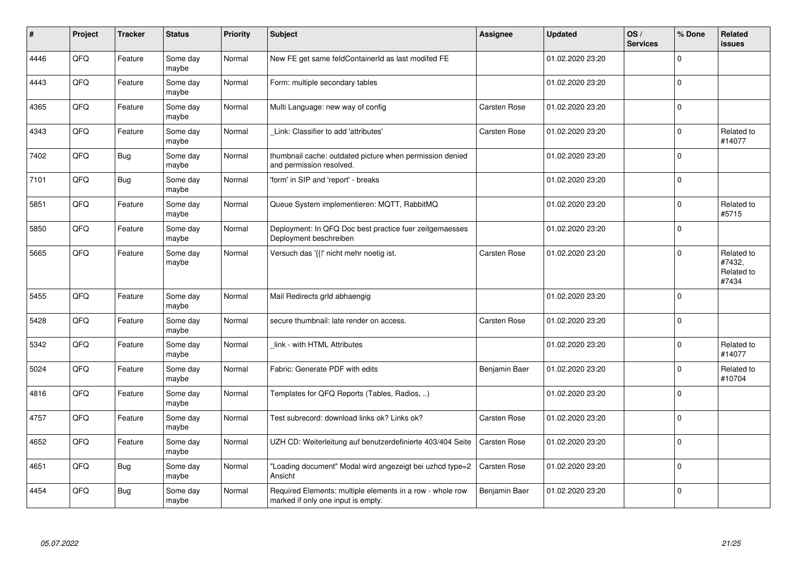| $\vert$ # | Project | <b>Tracker</b> | <b>Status</b>     | Priority | <b>Subject</b>                                                                                  | <b>Assignee</b> | <b>Updated</b>   | OS/<br><b>Services</b> | % Done         | <b>Related</b><br><b>issues</b>             |
|-----------|---------|----------------|-------------------|----------|-------------------------------------------------------------------------------------------------|-----------------|------------------|------------------------|----------------|---------------------------------------------|
| 4446      | QFQ     | Feature        | Some day<br>maybe | Normal   | New FE get same feldContainerId as last modifed FE                                              |                 | 01.02.2020 23:20 |                        | $\Omega$       |                                             |
| 4443      | QFQ     | Feature        | Some day<br>maybe | Normal   | Form: multiple secondary tables                                                                 |                 | 01.02.2020 23:20 |                        | $\mathbf 0$    |                                             |
| 4365      | QFQ     | Feature        | Some day<br>maybe | Normal   | Multi Language: new way of config                                                               | Carsten Rose    | 01.02.2020 23:20 |                        | $\overline{0}$ |                                             |
| 4343      | QFQ     | Feature        | Some day<br>maybe | Normal   | Link: Classifier to add 'attributes'                                                            | Carsten Rose    | 01.02.2020 23:20 |                        | $\mathbf 0$    | Related to<br>#14077                        |
| 7402      | QFQ     | Bug            | Some day<br>maybe | Normal   | thumbnail cache: outdated picture when permission denied<br>and permission resolved.            |                 | 01.02.2020 23:20 |                        | $\Omega$       |                                             |
| 7101      | QFQ     | Bug            | Some day<br>maybe | Normal   | 'form' in SIP and 'report' - breaks                                                             |                 | 01.02.2020 23:20 |                        | $\mathbf 0$    |                                             |
| 5851      | QFQ     | Feature        | Some day<br>maybe | Normal   | Queue System implementieren: MQTT, RabbitMQ                                                     |                 | 01.02.2020 23:20 |                        | $\mathbf 0$    | Related to<br>#5715                         |
| 5850      | QFQ     | Feature        | Some day<br>maybe | Normal   | Deployment: In QFQ Doc best practice fuer zeitgemaesses<br>Deployment beschreiben               |                 | 01.02.2020 23:20 |                        | $\Omega$       |                                             |
| 5665      | QFQ     | Feature        | Some day<br>maybe | Normal   | Versuch das '{{!' nicht mehr noetig ist.                                                        | Carsten Rose    | 01.02.2020 23:20 |                        | 0              | Related to<br>#7432,<br>Related to<br>#7434 |
| 5455      | QFQ     | Feature        | Some day<br>maybe | Normal   | Mail Redirects grld abhaengig                                                                   |                 | 01.02.2020 23:20 |                        | $\Omega$       |                                             |
| 5428      | QFQ     | Feature        | Some day<br>maybe | Normal   | secure thumbnail: late render on access.                                                        | Carsten Rose    | 01.02.2020 23:20 |                        | $\mathbf 0$    |                                             |
| 5342      | QFQ     | Feature        | Some day<br>maybe | Normal   | link - with HTML Attributes                                                                     |                 | 01.02.2020 23:20 |                        | 0              | Related to<br>#14077                        |
| 5024      | QFQ     | Feature        | Some day<br>maybe | Normal   | Fabric: Generate PDF with edits                                                                 | Benjamin Baer   | 01.02.2020 23:20 |                        | 0              | Related to<br>#10704                        |
| 4816      | QFQ     | Feature        | Some day<br>maybe | Normal   | Templates for QFQ Reports (Tables, Radios, )                                                    |                 | 01.02.2020 23:20 |                        | $\mathbf 0$    |                                             |
| 4757      | QFQ     | Feature        | Some day<br>maybe | Normal   | Test subrecord: download links ok? Links ok?                                                    | Carsten Rose    | 01.02.2020 23:20 |                        | 0              |                                             |
| 4652      | QFQ     | Feature        | Some day<br>maybe | Normal   | UZH CD: Weiterleitung auf benutzerdefinierte 403/404 Seite                                      | Carsten Rose    | 01.02.2020 23:20 |                        | $\mathbf 0$    |                                             |
| 4651      | QFQ     | Bug            | Some day<br>maybe | Normal   | "Loading document" Modal wird angezeigt bei uzhcd type=2<br>Ansicht                             | Carsten Rose    | 01.02.2020 23:20 |                        | $\Omega$       |                                             |
| 4454      | QFQ     | Bug            | Some day<br>maybe | Normal   | Required Elements: multiple elements in a row - whole row<br>marked if only one input is empty. | Benjamin Baer   | 01.02.2020 23:20 |                        | $\mathbf 0$    |                                             |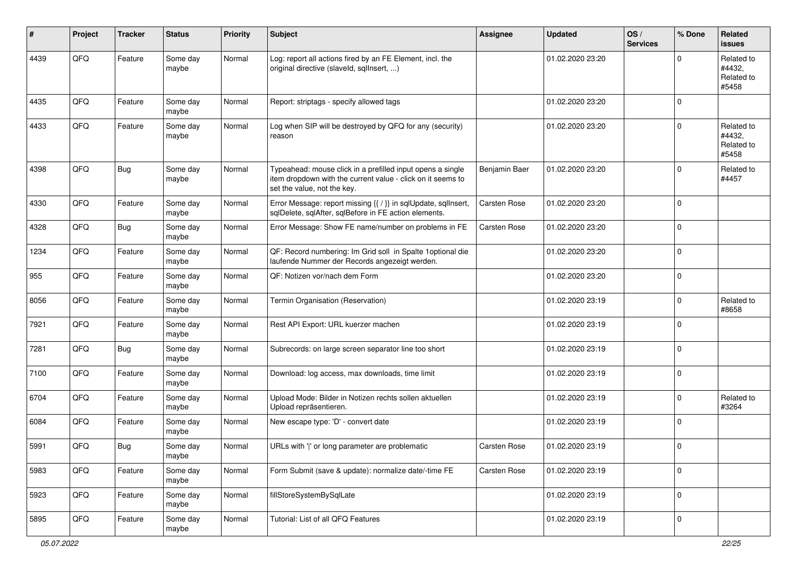| ∦    | Project | <b>Tracker</b> | <b>Status</b>     | <b>Priority</b> | <b>Subject</b>                                                                                                                                           | <b>Assignee</b>     | <b>Updated</b>   | OS/<br><b>Services</b> | % Done       | Related<br><b>issues</b>                    |
|------|---------|----------------|-------------------|-----------------|----------------------------------------------------------------------------------------------------------------------------------------------------------|---------------------|------------------|------------------------|--------------|---------------------------------------------|
| 4439 | QFQ     | Feature        | Some day<br>maybe | Normal          | Log: report all actions fired by an FE Element, incl. the<br>original directive (slaveld, sqllnsert, )                                                   |                     | 01.02.2020 23:20 |                        | $\mathbf 0$  | Related to<br>#4432.<br>Related to<br>#5458 |
| 4435 | QFQ     | Feature        | Some day<br>maybe | Normal          | Report: striptags - specify allowed tags                                                                                                                 |                     | 01.02.2020 23:20 |                        | $\mathbf 0$  |                                             |
| 4433 | QFQ     | Feature        | Some day<br>maybe | Normal          | Log when SIP will be destroyed by QFQ for any (security)<br>reason                                                                                       |                     | 01.02.2020 23:20 |                        | $\mathbf 0$  | Related to<br>#4432,<br>Related to<br>#5458 |
| 4398 | QFQ     | <b>Bug</b>     | Some day<br>maybe | Normal          | Typeahead: mouse click in a prefilled input opens a single<br>item dropdown with the current value - click on it seems to<br>set the value, not the key. | Benjamin Baer       | 01.02.2020 23:20 |                        | $\mathbf 0$  | Related to<br>#4457                         |
| 4330 | QFQ     | Feature        | Some day<br>maybe | Normal          | Error Message: report missing {{ / }} in sqlUpdate, sqlInsert,<br>sqlDelete, sqlAfter, sqlBefore in FE action elements.                                  | Carsten Rose        | 01.02.2020 23:20 |                        | $\mathbf 0$  |                                             |
| 4328 | QFQ     | <b>Bug</b>     | Some day<br>maybe | Normal          | Error Message: Show FE name/number on problems in FE                                                                                                     | Carsten Rose        | 01.02.2020 23:20 |                        | $\mathbf 0$  |                                             |
| 1234 | QFQ     | Feature        | Some day<br>maybe | Normal          | QF: Record numbering: Im Grid soll in Spalte 1 optional die<br>laufende Nummer der Records angezeigt werden.                                             |                     | 01.02.2020 23:20 |                        | $\mathbf{0}$ |                                             |
| 955  | QFQ     | Feature        | Some day<br>maybe | Normal          | QF: Notizen vor/nach dem Form                                                                                                                            |                     | 01.02.2020 23:20 |                        | $\mathsf 0$  |                                             |
| 8056 | QFQ     | Feature        | Some day<br>maybe | Normal          | Termin Organisation (Reservation)                                                                                                                        |                     | 01.02.2020 23:19 |                        | $\mathbf 0$  | Related to<br>#8658                         |
| 7921 | QFQ     | Feature        | Some day<br>maybe | Normal          | Rest API Export: URL kuerzer machen                                                                                                                      |                     | 01.02.2020 23:19 |                        | $\mathbf 0$  |                                             |
| 7281 | QFQ     | Bug            | Some day<br>maybe | Normal          | Subrecords: on large screen separator line too short                                                                                                     |                     | 01.02.2020 23:19 |                        | 0            |                                             |
| 7100 | QFQ     | Feature        | Some day<br>maybe | Normal          | Download: log access, max downloads, time limit                                                                                                          |                     | 01.02.2020 23:19 |                        | $\mathbf 0$  |                                             |
| 6704 | QFQ     | Feature        | Some day<br>maybe | Normal          | Upload Mode: Bilder in Notizen rechts sollen aktuellen<br>Upload repräsentieren.                                                                         |                     | 01.02.2020 23:19 |                        | $\mathbf 0$  | Related to<br>#3264                         |
| 6084 | QFQ     | Feature        | Some day<br>maybe | Normal          | New escape type: 'D' - convert date                                                                                                                      |                     | 01.02.2020 23:19 |                        | $\mathbf 0$  |                                             |
| 5991 | QFQ     | Bug            | Some day<br>maybe | Normal          | URLs with ' ' or long parameter are problematic                                                                                                          | <b>Carsten Rose</b> | 01.02.2020 23:19 |                        | $\mathbf 0$  |                                             |
| 5983 | QFQ     | Feature        | Some day<br>maybe | Normal          | Form Submit (save & update): normalize date/-time FE                                                                                                     | Carsten Rose        | 01.02.2020 23:19 |                        | 0            |                                             |
| 5923 | QFQ     | Feature        | Some day<br>maybe | Normal          | fillStoreSystemBySqlLate                                                                                                                                 |                     | 01.02.2020 23:19 |                        | $\mathsf 0$  |                                             |
| 5895 | QFQ     | Feature        | Some day<br>maybe | Normal          | Tutorial: List of all QFQ Features                                                                                                                       |                     | 01.02.2020 23:19 |                        | $\mathbf 0$  |                                             |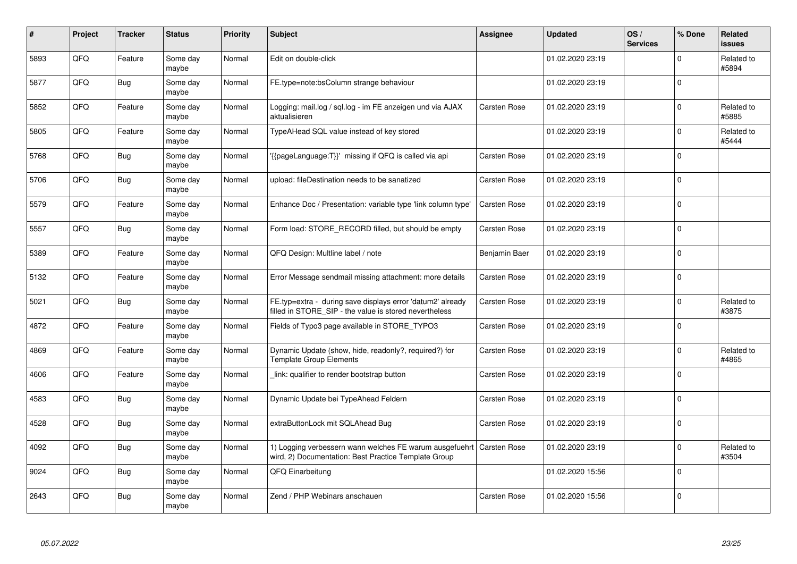| $\#$ | Project | <b>Tracker</b> | <b>Status</b>     | <b>Priority</b> | <b>Subject</b>                                                                                                       | Assignee            | <b>Updated</b>   | OS/<br><b>Services</b> | % Done         | <b>Related</b><br><b>issues</b> |
|------|---------|----------------|-------------------|-----------------|----------------------------------------------------------------------------------------------------------------------|---------------------|------------------|------------------------|----------------|---------------------------------|
| 5893 | QFQ     | Feature        | Some day<br>maybe | Normal          | Edit on double-click                                                                                                 |                     | 01.02.2020 23:19 |                        | $\mathbf 0$    | Related to<br>#5894             |
| 5877 | QFQ     | Bug            | Some day<br>maybe | Normal          | FE.type=note:bsColumn strange behaviour                                                                              |                     | 01.02.2020 23:19 |                        | $\Omega$       |                                 |
| 5852 | QFQ     | Feature        | Some day<br>maybe | Normal          | Logging: mail.log / sql.log - im FE anzeigen und via AJAX<br>aktualisieren                                           | Carsten Rose        | 01.02.2020 23:19 |                        | $\mathbf 0$    | Related to<br>#5885             |
| 5805 | QFQ     | Feature        | Some day<br>maybe | Normal          | TypeAHead SQL value instead of key stored                                                                            |                     | 01.02.2020 23:19 |                        | 0              | Related to<br>#5444             |
| 5768 | QFQ     | <b>Bug</b>     | Some day<br>maybe | Normal          | {{pageLanguage:T}}' missing if QFQ is called via api                                                                 | Carsten Rose        | 01.02.2020 23:19 |                        | $\Omega$       |                                 |
| 5706 | QFQ     | Bug            | Some day<br>maybe | Normal          | upload: fileDestination needs to be sanatized                                                                        | Carsten Rose        | 01.02.2020 23:19 |                        | 0              |                                 |
| 5579 | QFQ     | Feature        | Some day<br>maybe | Normal          | Enhance Doc / Presentation: variable type 'link column type'                                                         | Carsten Rose        | 01.02.2020 23:19 |                        | $\mathbf 0$    |                                 |
| 5557 | QFQ     | Bug            | Some day<br>maybe | Normal          | Form load: STORE_RECORD filled, but should be empty                                                                  | Carsten Rose        | 01.02.2020 23:19 |                        | 0              |                                 |
| 5389 | QFQ     | Feature        | Some day<br>maybe | Normal          | QFQ Design: Multline label / note                                                                                    | Benjamin Baer       | 01.02.2020 23:19 |                        | $\mathbf 0$    |                                 |
| 5132 | QFQ     | Feature        | Some day<br>maybe | Normal          | Error Message sendmail missing attachment: more details                                                              | Carsten Rose        | 01.02.2020 23:19 |                        | $\Omega$       |                                 |
| 5021 | QFQ     | <b>Bug</b>     | Some day<br>maybe | Normal          | FE.typ=extra - during save displays error 'datum2' already<br>filled in STORE_SIP - the value is stored nevertheless | Carsten Rose        | 01.02.2020 23:19 |                        | $\mathbf 0$    | Related to<br>#3875             |
| 4872 | QFQ     | Feature        | Some day<br>maybe | Normal          | Fields of Typo3 page available in STORE TYPO3                                                                        | Carsten Rose        | 01.02.2020 23:19 |                        | 0              |                                 |
| 4869 | QFQ     | Feature        | Some day<br>maybe | Normal          | Dynamic Update (show, hide, readonly?, required?) for<br><b>Template Group Elements</b>                              | Carsten Rose        | 01.02.2020 23:19 |                        | $\Omega$       | Related to<br>#4865             |
| 4606 | QFQ     | Feature        | Some day<br>maybe | Normal          | link: qualifier to render bootstrap button                                                                           | Carsten Rose        | 01.02.2020 23:19 |                        | $\overline{0}$ |                                 |
| 4583 | QFQ     | Bug            | Some day<br>maybe | Normal          | Dynamic Update bei TypeAhead Feldern                                                                                 | Carsten Rose        | 01.02.2020 23:19 |                        | $\Omega$       |                                 |
| 4528 | QFQ     | Bug            | Some day<br>maybe | Normal          | extraButtonLock mit SQLAhead Bug                                                                                     | Carsten Rose        | 01.02.2020 23:19 |                        | $\Omega$       |                                 |
| 4092 | QFQ     | Bug            | Some day<br>maybe | Normal          | 1) Logging verbessern wann welches FE warum ausgefuehrt<br>wird, 2) Documentation: Best Practice Template Group      | <b>Carsten Rose</b> | 01.02.2020 23:19 |                        | $\Omega$       | Related to<br>#3504             |
| 9024 | QFQ     | Bug            | Some day<br>maybe | Normal          | QFQ Einarbeitung                                                                                                     |                     | 01.02.2020 15:56 |                        | $\overline{0}$ |                                 |
| 2643 | QFQ     | Bug            | Some day<br>maybe | Normal          | Zend / PHP Webinars anschauen                                                                                        | Carsten Rose        | 01.02.2020 15:56 |                        | $\Omega$       |                                 |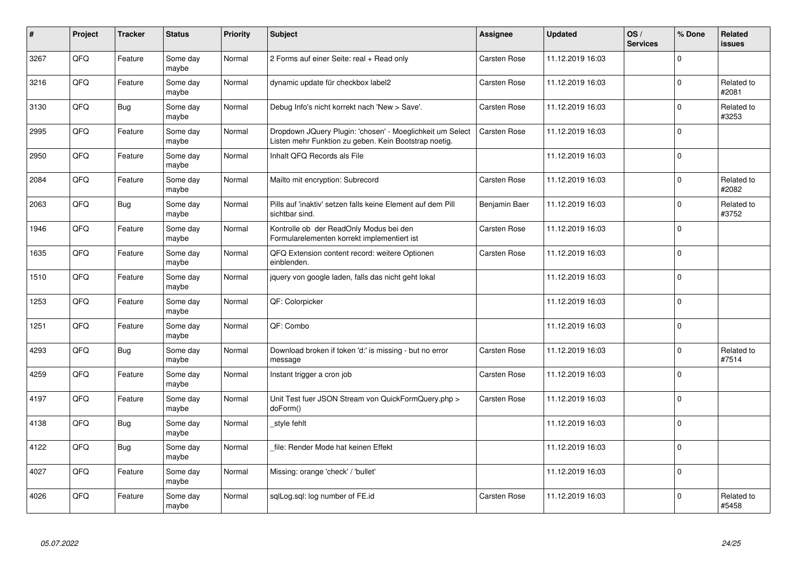| #    | Project | <b>Tracker</b> | <b>Status</b>     | <b>Priority</b> | <b>Subject</b>                                                                                                     | Assignee            | <b>Updated</b>   | OS/<br><b>Services</b> | % Done       | Related<br><b>issues</b> |
|------|---------|----------------|-------------------|-----------------|--------------------------------------------------------------------------------------------------------------------|---------------------|------------------|------------------------|--------------|--------------------------|
| 3267 | QFQ     | Feature        | Some day<br>maybe | Normal          | 2 Forms auf einer Seite: real + Read only                                                                          | <b>Carsten Rose</b> | 11.12.2019 16:03 |                        | $\Omega$     |                          |
| 3216 | QFQ     | Feature        | Some day<br>maybe | Normal          | dynamic update für checkbox label2                                                                                 | Carsten Rose        | 11.12.2019 16:03 |                        | $\pmb{0}$    | Related to<br>#2081      |
| 3130 | QFQ     | <b>Bug</b>     | Some day<br>maybe | Normal          | Debug Info's nicht korrekt nach 'New > Save'.                                                                      | Carsten Rose        | 11.12.2019 16:03 |                        | $\mathbf 0$  | Related to<br>#3253      |
| 2995 | QFQ     | Feature        | Some day<br>maybe | Normal          | Dropdown JQuery Plugin: 'chosen' - Moeglichkeit um Select<br>Listen mehr Funktion zu geben. Kein Bootstrap noetig. | Carsten Rose        | 11.12.2019 16:03 |                        | $\Omega$     |                          |
| 2950 | QFQ     | Feature        | Some day<br>maybe | Normal          | Inhalt QFQ Records als File                                                                                        |                     | 11.12.2019 16:03 |                        | $\mathbf 0$  |                          |
| 2084 | QFQ     | Feature        | Some day<br>maybe | Normal          | Mailto mit encryption: Subrecord                                                                                   | Carsten Rose        | 11.12.2019 16:03 |                        | $\mathbf{0}$ | Related to<br>#2082      |
| 2063 | QFQ     | Bug            | Some day<br>maybe | Normal          | Pills auf 'inaktiv' setzen falls keine Element auf dem Pill<br>sichtbar sind.                                      | Benjamin Baer       | 11.12.2019 16:03 |                        | $\mathbf 0$  | Related to<br>#3752      |
| 1946 | QFQ     | Feature        | Some day<br>maybe | Normal          | Kontrolle ob der ReadOnly Modus bei den<br>Formularelementen korrekt implementiert ist                             | Carsten Rose        | 11.12.2019 16:03 |                        | $\Omega$     |                          |
| 1635 | QFQ     | Feature        | Some day<br>maybe | Normal          | QFQ Extension content record: weitere Optionen<br>einblenden.                                                      | Carsten Rose        | 11.12.2019 16:03 |                        | $\mathbf 0$  |                          |
| 1510 | QFQ     | Feature        | Some day<br>maybe | Normal          | jquery von google laden, falls das nicht geht lokal                                                                |                     | 11.12.2019 16:03 |                        | $\mathbf 0$  |                          |
| 1253 | QFQ     | Feature        | Some day<br>maybe | Normal          | QF: Colorpicker                                                                                                    |                     | 11.12.2019 16:03 |                        | $\mathbf 0$  |                          |
| 1251 | QFQ     | Feature        | Some day<br>maybe | Normal          | QF: Combo                                                                                                          |                     | 11.12.2019 16:03 |                        | $\mathbf{0}$ |                          |
| 4293 | QFQ     | Bug            | Some day<br>maybe | Normal          | Download broken if token 'd:' is missing - but no error<br>message                                                 | <b>Carsten Rose</b> | 11.12.2019 16:03 |                        | $\mathbf 0$  | Related to<br>#7514      |
| 4259 | QFQ     | Feature        | Some day<br>maybe | Normal          | Instant trigger a cron job                                                                                         | Carsten Rose        | 11.12.2019 16:03 |                        | $\pmb{0}$    |                          |
| 4197 | QFQ     | Feature        | Some day<br>maybe | Normal          | Unit Test fuer JSON Stream von QuickFormQuery.php ><br>doForm()                                                    | Carsten Rose        | 11.12.2019 16:03 |                        | $\Omega$     |                          |
| 4138 | QFQ     | Bug            | Some day<br>maybe | Normal          | style fehlt                                                                                                        |                     | 11.12.2019 16:03 |                        | $\mathbf 0$  |                          |
| 4122 | QFQ     | <b>Bug</b>     | Some day<br>maybe | Normal          | file: Render Mode hat keinen Effekt                                                                                |                     | 11.12.2019 16:03 |                        | $\pmb{0}$    |                          |
| 4027 | QFQ     | Feature        | Some day<br>maybe | Normal          | Missing: orange 'check' / 'bullet'                                                                                 |                     | 11.12.2019 16:03 |                        | $\pmb{0}$    |                          |
| 4026 | QFQ     | Feature        | Some day<br>maybe | Normal          | sqlLog.sql: log number of FE.id                                                                                    | Carsten Rose        | 11.12.2019 16:03 |                        | $\mathbf 0$  | Related to<br>#5458      |